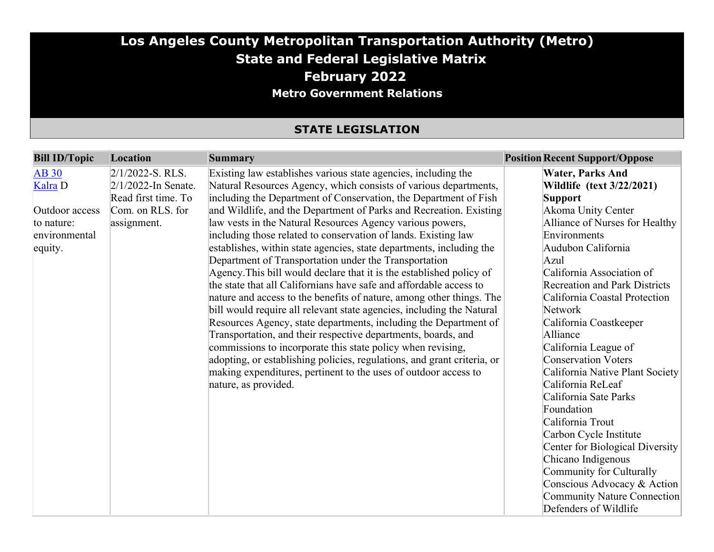#### **Los Angeles County Metropolitan Transportation Authority (Metro) State and Federal Legislative Matrix February 2022 Metro Government Relations**

#### **STATE LEGISLATION**

| <b>Bill ID/Topic</b> | Location               | <b>Summary</b>                                                          | <b>Position Recent Support/Oppose</b> |
|----------------------|------------------------|-------------------------------------------------------------------------|---------------------------------------|
| <b>AB 30</b>         | $2/1/2022$ -S. RLS.    | Existing law establishes various state agencies, including the          | <b>Water, Parks And</b>               |
| Kalra <sub>D</sub>   | $2/1/2022$ -In Senate. | Natural Resources Agency, which consists of various departments,        | <b>Wildlife</b> (text 3/22/2021)      |
|                      | Read first time. To    | including the Department of Conservation, the Department of Fish        | <b>Support</b>                        |
| Outdoor access       | Com. on RLS. for       | and Wildlife, and the Department of Parks and Recreation. Existing      | Akoma Unity Center                    |
| to nature:           | assignment.            | law vests in the Natural Resources Agency various powers,               | Alliance of Nurses for Healthy        |
| environmental        |                        | including those related to conservation of lands. Existing law          | Environments                          |
| equity.              |                        | establishes, within state agencies, state departments, including the    | Audubon California                    |
|                      |                        | Department of Transportation under the Transportation                   | Azul                                  |
|                      |                        | Agency. This bill would declare that it is the established policy of    | California Association of             |
|                      |                        | the state that all Californians have safe and affordable access to      | <b>Recreation and Park Districts</b>  |
|                      |                        | nature and access to the benefits of nature, among other things. The    | California Coastal Protection         |
|                      |                        | bill would require all relevant state agencies, including the Natural   | Network                               |
|                      |                        | Resources Agency, state departments, including the Department of        | California Coastkeeper                |
|                      |                        | Transportation, and their respective departments, boards, and           | Alliance                              |
|                      |                        | commissions to incorporate this state policy when revising,             | California League of                  |
|                      |                        | adopting, or establishing policies, regulations, and grant criteria, or | <b>Conservation Voters</b>            |
|                      |                        | making expenditures, pertinent to the uses of outdoor access to         | California Native Plant Society       |
|                      |                        | nature, as provided.                                                    | California ReLeaf                     |
|                      |                        |                                                                         | California Sate Parks                 |
|                      |                        |                                                                         | Foundation                            |
|                      |                        |                                                                         | California Trout                      |
|                      |                        |                                                                         | Carbon Cycle Institute                |
|                      |                        |                                                                         | Center for Biological Diversity       |
|                      |                        |                                                                         | Chicano Indigenous                    |
|                      |                        |                                                                         | Community for Culturally              |
|                      |                        |                                                                         | Conscious Advocacy & Action           |
|                      |                        |                                                                         | Community Nature Connection           |
|                      |                        |                                                                         | Defenders of Wildlife                 |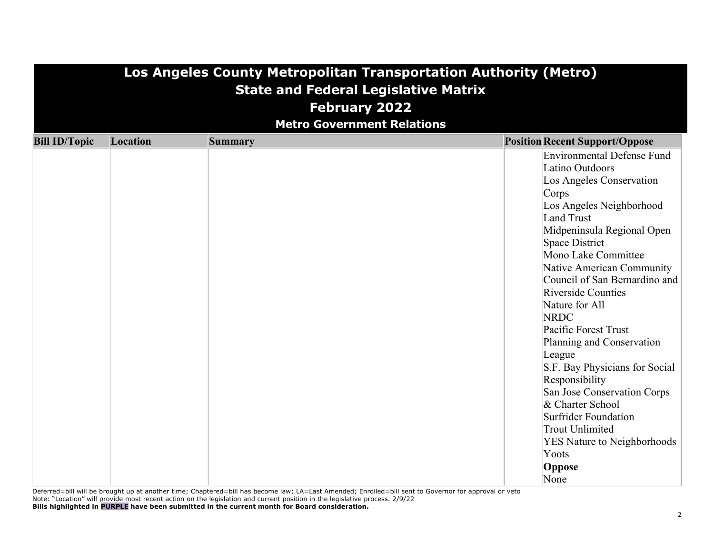|                      | Los Angeles County Metropolitan Transportation Authority (Metro)<br><b>State and Federal Legislative Matrix</b> |                |                                                |  |  |  |  |  |  |
|----------------------|-----------------------------------------------------------------------------------------------------------------|----------------|------------------------------------------------|--|--|--|--|--|--|
|                      | <b>February 2022</b>                                                                                            |                |                                                |  |  |  |  |  |  |
|                      |                                                                                                                 |                |                                                |  |  |  |  |  |  |
|                      | <b>Metro Government Relations</b>                                                                               |                |                                                |  |  |  |  |  |  |
| <b>Bill ID/Topic</b> | Location                                                                                                        | <b>Summary</b> | <b>Position Recent Support/Oppose</b>          |  |  |  |  |  |  |
|                      |                                                                                                                 |                | Environmental Defense Fund                     |  |  |  |  |  |  |
|                      |                                                                                                                 |                | Latino Outdoors                                |  |  |  |  |  |  |
|                      |                                                                                                                 |                | Los Angeles Conservation                       |  |  |  |  |  |  |
|                      |                                                                                                                 |                | Corps<br>Los Angeles Neighborhood              |  |  |  |  |  |  |
|                      |                                                                                                                 |                | <b>Land Trust</b>                              |  |  |  |  |  |  |
|                      |                                                                                                                 |                | Midpeninsula Regional Open                     |  |  |  |  |  |  |
|                      |                                                                                                                 |                | Space District                                 |  |  |  |  |  |  |
|                      |                                                                                                                 |                | Mono Lake Committee                            |  |  |  |  |  |  |
|                      |                                                                                                                 |                | Native American Community                      |  |  |  |  |  |  |
|                      |                                                                                                                 |                | Council of San Bernardino and                  |  |  |  |  |  |  |
|                      |                                                                                                                 |                | <b>Riverside Counties</b>                      |  |  |  |  |  |  |
|                      |                                                                                                                 |                | Nature for All                                 |  |  |  |  |  |  |
|                      |                                                                                                                 |                | <b>NRDC</b>                                    |  |  |  |  |  |  |
|                      |                                                                                                                 |                | Pacific Forest Trust                           |  |  |  |  |  |  |
|                      |                                                                                                                 |                | Planning and Conservation                      |  |  |  |  |  |  |
|                      |                                                                                                                 |                | League                                         |  |  |  |  |  |  |
|                      |                                                                                                                 |                | S.F. Bay Physicians for Social                 |  |  |  |  |  |  |
|                      |                                                                                                                 |                | Responsibility                                 |  |  |  |  |  |  |
|                      |                                                                                                                 |                | San Jose Conservation Corps                    |  |  |  |  |  |  |
|                      |                                                                                                                 |                | & Charter School                               |  |  |  |  |  |  |
|                      |                                                                                                                 |                | Surfrider Foundation<br><b>Trout Unlimited</b> |  |  |  |  |  |  |
|                      |                                                                                                                 |                | <b>YES Nature to Neighborhoods</b>             |  |  |  |  |  |  |
|                      |                                                                                                                 |                | Yoots                                          |  |  |  |  |  |  |
|                      |                                                                                                                 |                | Oppose                                         |  |  |  |  |  |  |
|                      |                                                                                                                 |                | None                                           |  |  |  |  |  |  |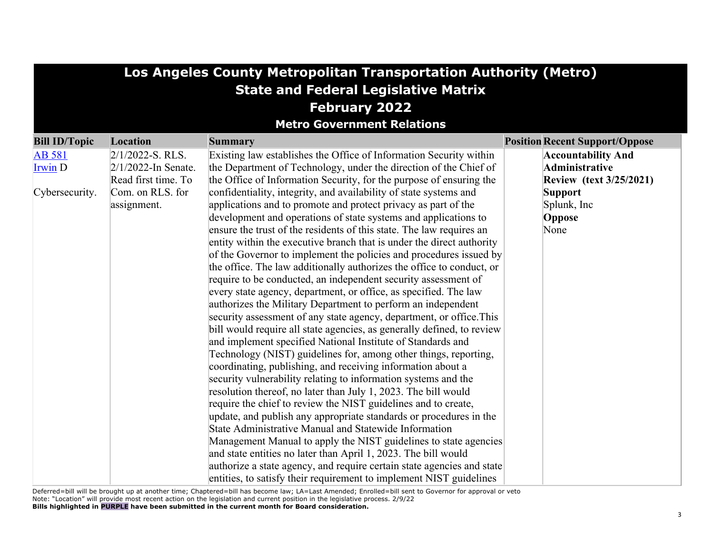| Los Angeles County Metropolitan Transportation Authority (Metro) |                                   |                                                                        |                                       |  |  |  |  |  |
|------------------------------------------------------------------|-----------------------------------|------------------------------------------------------------------------|---------------------------------------|--|--|--|--|--|
| <b>State and Federal Legislative Matrix</b>                      |                                   |                                                                        |                                       |  |  |  |  |  |
| <b>February 2022</b>                                             |                                   |                                                                        |                                       |  |  |  |  |  |
|                                                                  | <b>Metro Government Relations</b> |                                                                        |                                       |  |  |  |  |  |
| <b>Bill ID/Topic</b>                                             | Location                          | <b>Summary</b>                                                         | <b>Position Recent Support/Oppose</b> |  |  |  |  |  |
| <b>AB</b> 581                                                    | $2/1/2022$ -S. RLS.               | Existing law establishes the Office of Information Security within     | <b>Accountability And</b>             |  |  |  |  |  |
| Irwin D                                                          | $2/1/2022$ -In Senate.            | the Department of Technology, under the direction of the Chief of      | Administrative                        |  |  |  |  |  |
|                                                                  | Read first time. To               | the Office of Information Security, for the purpose of ensuring the    | <b>Review (text 3/25/2021)</b>        |  |  |  |  |  |
| Cybersecurity.                                                   | Com. on RLS. for                  | confidentiality, integrity, and availability of state systems and      | <b>Support</b>                        |  |  |  |  |  |
|                                                                  | assignment.                       | applications and to promote and protect privacy as part of the         | Splunk, Inc                           |  |  |  |  |  |
|                                                                  |                                   | development and operations of state systems and applications to        | Oppose                                |  |  |  |  |  |
|                                                                  |                                   | ensure the trust of the residents of this state. The law requires an   | None                                  |  |  |  |  |  |
|                                                                  |                                   | entity within the executive branch that is under the direct authority  |                                       |  |  |  |  |  |
|                                                                  |                                   | of the Governor to implement the policies and procedures issued by     |                                       |  |  |  |  |  |
|                                                                  |                                   | the office. The law additionally authorizes the office to conduct, or  |                                       |  |  |  |  |  |
|                                                                  |                                   | require to be conducted, an independent security assessment of         |                                       |  |  |  |  |  |
|                                                                  |                                   | every state agency, department, or office, as specified. The law       |                                       |  |  |  |  |  |
|                                                                  |                                   | authorizes the Military Department to perform an independent           |                                       |  |  |  |  |  |
|                                                                  |                                   | security assessment of any state agency, department, or office. This   |                                       |  |  |  |  |  |
|                                                                  |                                   | bill would require all state agencies, as generally defined, to review |                                       |  |  |  |  |  |
|                                                                  |                                   | and implement specified National Institute of Standards and            |                                       |  |  |  |  |  |
|                                                                  |                                   | Technology (NIST) guidelines for, among other things, reporting,       |                                       |  |  |  |  |  |
|                                                                  |                                   | coordinating, publishing, and receiving information about a            |                                       |  |  |  |  |  |
|                                                                  |                                   | security vulnerability relating to information systems and the         |                                       |  |  |  |  |  |
|                                                                  |                                   | resolution thereof, no later than July 1, 2023. The bill would         |                                       |  |  |  |  |  |
|                                                                  |                                   | require the chief to review the NIST guidelines and to create,         |                                       |  |  |  |  |  |
|                                                                  |                                   | update, and publish any appropriate standards or procedures in the     |                                       |  |  |  |  |  |
|                                                                  |                                   | State Administrative Manual and Statewide Information                  |                                       |  |  |  |  |  |
|                                                                  |                                   | Management Manual to apply the NIST guidelines to state agencies       |                                       |  |  |  |  |  |
|                                                                  |                                   | and state entities no later than April 1, 2023. The bill would         |                                       |  |  |  |  |  |
|                                                                  |                                   | authorize a state agency, and require certain state agencies and state |                                       |  |  |  |  |  |
|                                                                  |                                   | entities, to satisfy their requirement to implement NIST guidelines    |                                       |  |  |  |  |  |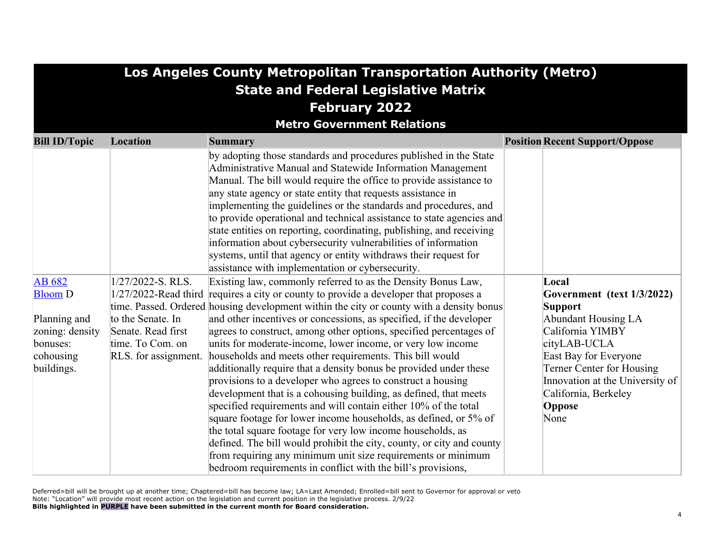|                                                                                                    |                      | Los Angeles County Metropolitan Transportation Authority (Metro)                                                              |  |                                                    |  |  |  |
|----------------------------------------------------------------------------------------------------|----------------------|-------------------------------------------------------------------------------------------------------------------------------|--|----------------------------------------------------|--|--|--|
| <b>State and Federal Legislative Matrix</b>                                                        |                      |                                                                                                                               |  |                                                    |  |  |  |
|                                                                                                    |                      | <b>February 2022</b>                                                                                                          |  |                                                    |  |  |  |
| <b>Metro Government Relations</b>                                                                  |                      |                                                                                                                               |  |                                                    |  |  |  |
| <b>Bill ID/Topic</b><br><b>Location</b><br><b>Position Recent Support/Oppose</b><br><b>Summary</b> |                      |                                                                                                                               |  |                                                    |  |  |  |
|                                                                                                    |                      | by adopting those standards and procedures published in the State                                                             |  |                                                    |  |  |  |
|                                                                                                    |                      | Administrative Manual and Statewide Information Management                                                                    |  |                                                    |  |  |  |
|                                                                                                    |                      | Manual. The bill would require the office to provide assistance to                                                            |  |                                                    |  |  |  |
|                                                                                                    |                      | any state agency or state entity that requests assistance in                                                                  |  |                                                    |  |  |  |
|                                                                                                    |                      | implementing the guidelines or the standards and procedures, and                                                              |  |                                                    |  |  |  |
|                                                                                                    |                      | to provide operational and technical assistance to state agencies and                                                         |  |                                                    |  |  |  |
|                                                                                                    |                      | state entities on reporting, coordinating, publishing, and receiving                                                          |  |                                                    |  |  |  |
|                                                                                                    |                      | information about cybersecurity vulnerabilities of information                                                                |  |                                                    |  |  |  |
|                                                                                                    |                      | systems, until that agency or entity withdraws their request for                                                              |  |                                                    |  |  |  |
|                                                                                                    |                      | assistance with implementation or cybersecurity.                                                                              |  |                                                    |  |  |  |
| AB 682                                                                                             | $1/27/2022$ -S. RLS. | Existing law, commonly referred to as the Density Bonus Law,                                                                  |  | Local                                              |  |  |  |
| <b>Bloom</b> D                                                                                     | 1/27/2022-Read third | requires a city or county to provide a developer that proposes a                                                              |  | Government (text 1/3/2022)                         |  |  |  |
|                                                                                                    |                      | time. Passed. Ordered housing development within the city or county with a density bonus                                      |  | <b>Support</b>                                     |  |  |  |
| Planning and                                                                                       | to the Senate. In    | and other incentives or concessions, as specified, if the developer                                                           |  | <b>Abundant Housing LA</b>                         |  |  |  |
| zoning: density                                                                                    | Senate. Read first   | agrees to construct, among other options, specified percentages of                                                            |  | California YIMBY                                   |  |  |  |
| bonuses:                                                                                           | time. To Com. on     | units for moderate-income, lower income, or very low income                                                                   |  | cityLAB-UCLA                                       |  |  |  |
| cohousing                                                                                          | RLS. for assignment. | households and meets other requirements. This bill would<br>additionally require that a density bonus be provided under these |  | East Bay for Everyone<br>Terner Center for Housing |  |  |  |
| buildings.                                                                                         |                      | provisions to a developer who agrees to construct a housing                                                                   |  | Innovation at the University of                    |  |  |  |
|                                                                                                    |                      | development that is a cohousing building, as defined, that meets                                                              |  | California, Berkeley                               |  |  |  |
|                                                                                                    |                      | specified requirements and will contain either 10% of the total                                                               |  | Oppose                                             |  |  |  |
|                                                                                                    |                      | square footage for lower income households, as defined, or 5% of                                                              |  | None                                               |  |  |  |
|                                                                                                    |                      | the total square footage for very low income households, as                                                                   |  |                                                    |  |  |  |
|                                                                                                    |                      | defined. The bill would prohibit the city, county, or city and county                                                         |  |                                                    |  |  |  |
|                                                                                                    |                      | from requiring any minimum unit size requirements or minimum                                                                  |  |                                                    |  |  |  |
|                                                                                                    |                      | bedroom requirements in conflict with the bill's provisions,                                                                  |  |                                                    |  |  |  |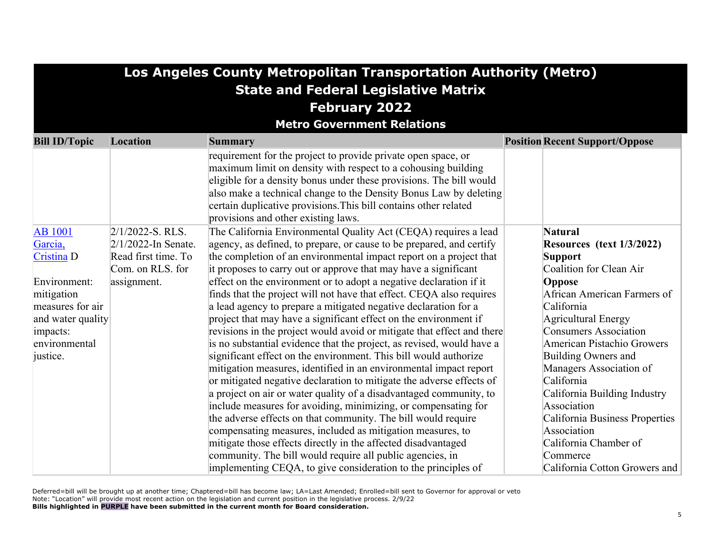| Los Angeles County Metropolitan Transportation Authority (Metro) |                        |                                                                        |                                       |  |  |  |  |
|------------------------------------------------------------------|------------------------|------------------------------------------------------------------------|---------------------------------------|--|--|--|--|
| <b>State and Federal Legislative Matrix</b>                      |                        |                                                                        |                                       |  |  |  |  |
| <b>February 2022</b>                                             |                        |                                                                        |                                       |  |  |  |  |
|                                                                  |                        |                                                                        |                                       |  |  |  |  |
| <b>Metro Government Relations</b>                                |                        |                                                                        |                                       |  |  |  |  |
| <b>Bill ID/Topic</b>                                             | Location               | <b>Summary</b>                                                         | <b>Position Recent Support/Oppose</b> |  |  |  |  |
|                                                                  |                        | requirement for the project to provide private open space, or          |                                       |  |  |  |  |
|                                                                  |                        | maximum limit on density with respect to a cohousing building          |                                       |  |  |  |  |
|                                                                  |                        | eligible for a density bonus under these provisions. The bill would    |                                       |  |  |  |  |
|                                                                  |                        | also make a technical change to the Density Bonus Law by deleting      |                                       |  |  |  |  |
|                                                                  |                        | certain duplicative provisions. This bill contains other related       |                                       |  |  |  |  |
|                                                                  |                        | provisions and other existing laws.                                    |                                       |  |  |  |  |
| <b>AB</b> 1001                                                   | $2/1/2022$ -S. RLS.    | The California Environmental Quality Act (CEQA) requires a lead        | <b>Natural</b>                        |  |  |  |  |
| Garcia,                                                          | $2/1/2022$ -In Senate. | agency, as defined, to prepare, or cause to be prepared, and certify   | Resources (text 1/3/2022)             |  |  |  |  |
| Cristina D                                                       | Read first time. To    | the completion of an environmental impact report on a project that     | <b>Support</b>                        |  |  |  |  |
|                                                                  | Com. on RLS. for       | it proposes to carry out or approve that may have a significant        | Coalition for Clean Air               |  |  |  |  |
| Environment:                                                     | assignment.            | effect on the environment or to adopt a negative declaration if it     | Oppose                                |  |  |  |  |
| mitigation                                                       |                        | finds that the project will not have that effect. CEQA also requires   | African American Farmers of           |  |  |  |  |
| measures for air                                                 |                        | a lead agency to prepare a mitigated negative declaration for a        | California                            |  |  |  |  |
| and water quality                                                |                        | project that may have a significant effect on the environment if       | Agricultural Energy                   |  |  |  |  |
| impacts:                                                         |                        | revisions in the project would avoid or mitigate that effect and there | <b>Consumers Association</b>          |  |  |  |  |
| environmental                                                    |                        | is no substantial evidence that the project, as revised, would have a  | American Pistachio Growers            |  |  |  |  |
| justice.                                                         |                        | significant effect on the environment. This bill would authorize       | Building Owners and                   |  |  |  |  |
|                                                                  |                        | mitigation measures, identified in an environmental impact report      | Managers Association of               |  |  |  |  |
|                                                                  |                        | or mitigated negative declaration to mitigate the adverse effects of   | California                            |  |  |  |  |
|                                                                  |                        | a project on air or water quality of a disadvantaged community, to     | California Building Industry          |  |  |  |  |
|                                                                  |                        | include measures for avoiding, minimizing, or compensating for         | Association                           |  |  |  |  |
|                                                                  |                        | the adverse effects on that community. The bill would require          | California Business Properties        |  |  |  |  |
|                                                                  |                        | compensating measures, included as mitigation measures, to             | Association                           |  |  |  |  |
|                                                                  |                        | mitigate those effects directly in the affected disadvantaged          | California Chamber of                 |  |  |  |  |
|                                                                  |                        | community. The bill would require all public agencies, in              | Commerce                              |  |  |  |  |
|                                                                  |                        | implementing CEQA, to give consideration to the principles of          | California Cotton Growers and         |  |  |  |  |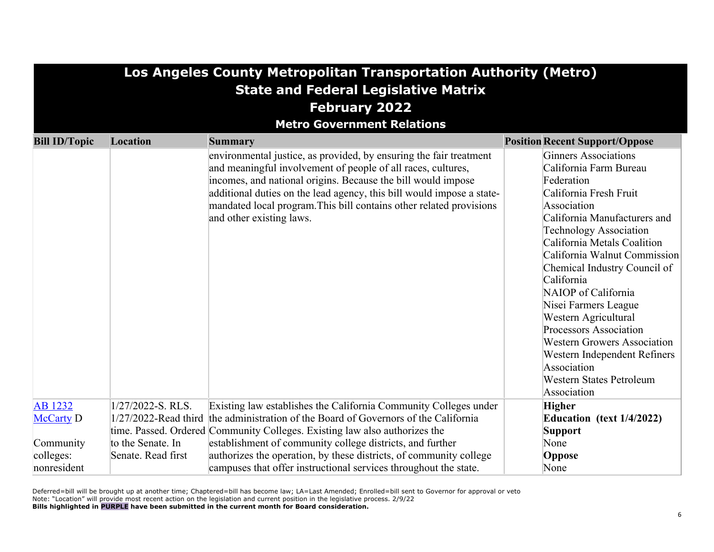|                                             | Los Angeles County Metropolitan Transportation Authority (Metro) |                                                                                                                                                                                                                                                                                                                                                                                |                                                                                                                                                                                                                                                                                                                                                                                                                                                                                                                                           |  |  |  |  |
|---------------------------------------------|------------------------------------------------------------------|--------------------------------------------------------------------------------------------------------------------------------------------------------------------------------------------------------------------------------------------------------------------------------------------------------------------------------------------------------------------------------|-------------------------------------------------------------------------------------------------------------------------------------------------------------------------------------------------------------------------------------------------------------------------------------------------------------------------------------------------------------------------------------------------------------------------------------------------------------------------------------------------------------------------------------------|--|--|--|--|
| <b>State and Federal Legislative Matrix</b> |                                                                  |                                                                                                                                                                                                                                                                                                                                                                                |                                                                                                                                                                                                                                                                                                                                                                                                                                                                                                                                           |  |  |  |  |
|                                             | <b>February 2022</b>                                             |                                                                                                                                                                                                                                                                                                                                                                                |                                                                                                                                                                                                                                                                                                                                                                                                                                                                                                                                           |  |  |  |  |
|                                             |                                                                  | <b>Metro Government Relations</b>                                                                                                                                                                                                                                                                                                                                              |                                                                                                                                                                                                                                                                                                                                                                                                                                                                                                                                           |  |  |  |  |
| <b>Bill ID/Topic</b>                        | Location                                                         | <b>Summary</b>                                                                                                                                                                                                                                                                                                                                                                 | <b>Position Recent Support/Oppose</b>                                                                                                                                                                                                                                                                                                                                                                                                                                                                                                     |  |  |  |  |
|                                             |                                                                  | environmental justice, as provided, by ensuring the fair treatment<br>and meaningful involvement of people of all races, cultures,<br>incomes, and national origins. Because the bill would impose<br>additional duties on the lead agency, this bill would impose a state-<br>mandated local program. This bill contains other related provisions<br>and other existing laws. | <b>Ginners Associations</b><br>California Farm Bureau<br>Federation<br>California Fresh Fruit<br>Association<br>California Manufacturers and<br><b>Technology Association</b><br>California Metals Coalition<br>California Walnut Commission<br>Chemical Industry Council of<br>California<br>NAIOP of California<br>Nisei Farmers League<br>Western Agricultural<br><b>Processors Association</b><br><b>Western Growers Association</b><br>Western Independent Refiners<br>Association<br><b>Western States Petroleum</b><br>Association |  |  |  |  |
| <b>AB</b> 1232                              | 1/27/2022-S. RLS.                                                | Existing law establishes the California Community Colleges under                                                                                                                                                                                                                                                                                                               | <b>Higher</b>                                                                                                                                                                                                                                                                                                                                                                                                                                                                                                                             |  |  |  |  |
| <b>McCarty D</b>                            | 1/27/2022-Read third                                             | the administration of the Board of Governors of the California                                                                                                                                                                                                                                                                                                                 | Education (text 1/4/2022)                                                                                                                                                                                                                                                                                                                                                                                                                                                                                                                 |  |  |  |  |
|                                             |                                                                  | time. Passed. Ordered Community Colleges. Existing law also authorizes the                                                                                                                                                                                                                                                                                                     | <b>Support</b>                                                                                                                                                                                                                                                                                                                                                                                                                                                                                                                            |  |  |  |  |
| Community                                   | to the Senate. In                                                | establishment of community college districts, and further                                                                                                                                                                                                                                                                                                                      | None                                                                                                                                                                                                                                                                                                                                                                                                                                                                                                                                      |  |  |  |  |
| colleges:                                   | Senate. Read first                                               | authorizes the operation, by these districts, of community college                                                                                                                                                                                                                                                                                                             | Oppose                                                                                                                                                                                                                                                                                                                                                                                                                                                                                                                                    |  |  |  |  |
| nonresident                                 |                                                                  | campuses that offer instructional services throughout the state.                                                                                                                                                                                                                                                                                                               | None                                                                                                                                                                                                                                                                                                                                                                                                                                                                                                                                      |  |  |  |  |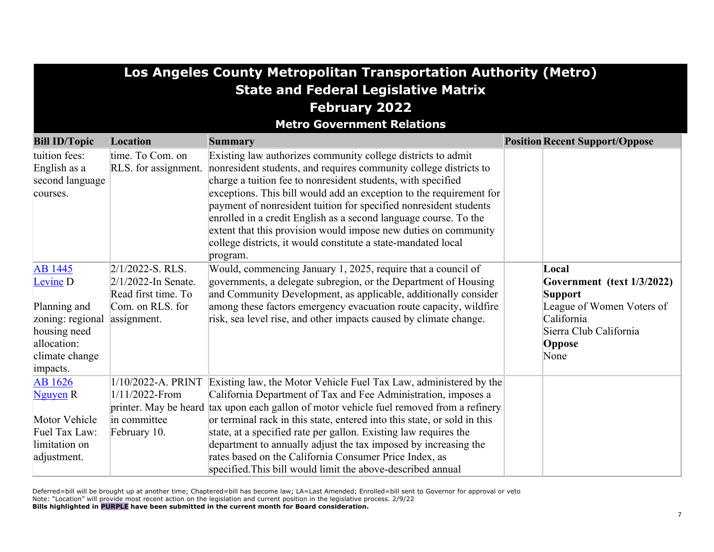| Los Angeles County Metropolitan Transportation Authority (Metro)                                                                       |                                                                                                         |                                                                                                                                                                                                                                                                                                                                                                                                                                                                                                                                                                             |                                                                                                                                              |  |  |  |  |
|----------------------------------------------------------------------------------------------------------------------------------------|---------------------------------------------------------------------------------------------------------|-----------------------------------------------------------------------------------------------------------------------------------------------------------------------------------------------------------------------------------------------------------------------------------------------------------------------------------------------------------------------------------------------------------------------------------------------------------------------------------------------------------------------------------------------------------------------------|----------------------------------------------------------------------------------------------------------------------------------------------|--|--|--|--|
| <b>State and Federal Legislative Matrix</b>                                                                                            |                                                                                                         |                                                                                                                                                                                                                                                                                                                                                                                                                                                                                                                                                                             |                                                                                                                                              |  |  |  |  |
| <b>February 2022</b>                                                                                                                   |                                                                                                         |                                                                                                                                                                                                                                                                                                                                                                                                                                                                                                                                                                             |                                                                                                                                              |  |  |  |  |
|                                                                                                                                        |                                                                                                         | <b>Metro Government Relations</b>                                                                                                                                                                                                                                                                                                                                                                                                                                                                                                                                           |                                                                                                                                              |  |  |  |  |
| <b>Bill ID/Topic</b>                                                                                                                   | Location                                                                                                | <b>Summary</b>                                                                                                                                                                                                                                                                                                                                                                                                                                                                                                                                                              | <b>Position Recent Support/Oppose</b>                                                                                                        |  |  |  |  |
| tuition fees:<br>English as a<br>second language<br>courses.                                                                           | time. To Com. on<br>RLS. for assignment.                                                                | Existing law authorizes community college districts to admit<br>nonresident students, and requires community college districts to<br>charge a tuition fee to nonresident students, with specified<br>exceptions. This bill would add an exception to the requirement for<br>payment of nonresident tuition for specified nonresident students<br>enrolled in a credit English as a second language course. To the<br>extent that this provision would impose new duties on community<br>college districts, it would constitute a state-mandated local<br>program.           |                                                                                                                                              |  |  |  |  |
| <b>AB</b> 1445<br>Levine <sub>D</sub><br>Planning and<br>zoning: regional<br>housing need<br>allocation:<br>climate change<br>impacts. | $2/1/2022$ -S. RLS.<br>$2/1/2022$ -In Senate.<br>Read first time. To<br>Com. on RLS. for<br>assignment. | Would, commencing January 1, 2025, require that a council of<br>governments, a delegate subregion, or the Department of Housing<br>and Community Development, as applicable, additionally consider<br>among these factors emergency evacuation route capacity, wildfire<br>risk, sea level rise, and other impacts caused by climate change.                                                                                                                                                                                                                                | Local<br>Government (text 1/3/2022)<br><b>Support</b><br>League of Women Voters of<br>California<br>Sierra Club California<br>Oppose<br>None |  |  |  |  |
| <b>AB</b> 1626<br>Nguyen R<br>Motor Vehicle<br>Fuel Tax Law:<br>limitation on<br>adjustment.                                           | 1/10/2022-A. PRINT<br>1/11/2022-From<br>in committee<br>February 10.                                    | Existing law, the Motor Vehicle Fuel Tax Law, administered by the<br>California Department of Tax and Fee Administration, imposes a<br>printer. May be heard tax upon each gallon of motor vehicle fuel removed from a refinery<br>or terminal rack in this state, entered into this state, or sold in this<br>state, at a specified rate per gallon. Existing law requires the<br>department to annually adjust the tax imposed by increasing the<br>rates based on the California Consumer Price Index, as<br>specified. This bill would limit the above-described annual |                                                                                                                                              |  |  |  |  |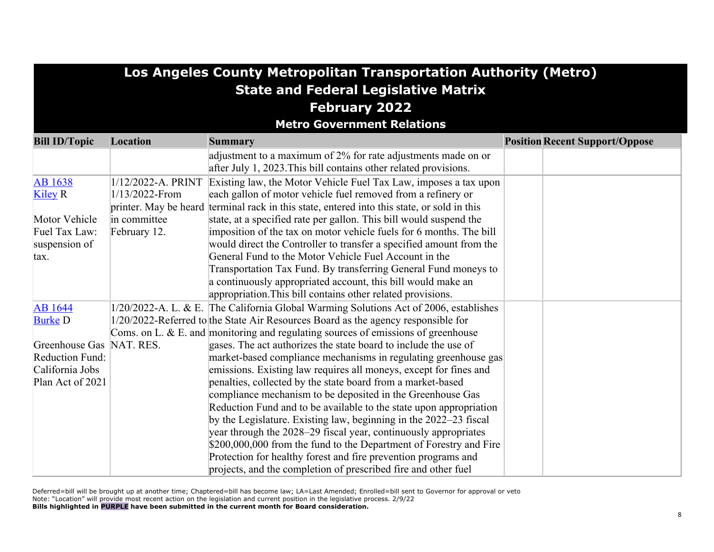# **Los Angeles County Metropolitan Transportation Authority (Metro) State and Federal Legislative Matrix February 2022**

**Metro Government Relations**

| <b>Bill ID/Topic</b>   | Location              | <b>Summary</b>                                                                        | <b>Position Recent Support/Oppose</b> |
|------------------------|-----------------------|---------------------------------------------------------------------------------------|---------------------------------------|
|                        |                       | adjustment to a maximum of 2% for rate adjustments made on or                         |                                       |
|                        |                       | after July 1, 2023. This bill contains other related provisions.                      |                                       |
| <b>AB</b> 1638         | 1/12/2022-A. PRINT    | Existing law, the Motor Vehicle Fuel Tax Law, imposes a tax upon                      |                                       |
| Kiley R                | 1/13/2022-From        | each gallon of motor vehicle fuel removed from a refinery or                          |                                       |
|                        | printer. May be heard | terminal rack in this state, entered into this state, or sold in this                 |                                       |
| Motor Vehicle          | in committee          | state, at a specified rate per gallon. This bill would suspend the                    |                                       |
| Fuel Tax Law:          | February 12.          | imposition of the tax on motor vehicle fuels for 6 months. The bill                   |                                       |
| suspension of          |                       | would direct the Controller to transfer a specified amount from the                   |                                       |
| tax.                   |                       | General Fund to the Motor Vehicle Fuel Account in the                                 |                                       |
|                        |                       | Transportation Tax Fund. By transferring General Fund moneys to                       |                                       |
|                        |                       | a continuously appropriated account, this bill would make an                          |                                       |
|                        |                       | appropriation. This bill contains other related provisions.                           |                                       |
| <b>AB</b> 1644         |                       | 1/20/2022-A. L. & E. The California Global Warming Solutions Act of 2006, establishes |                                       |
| <b>Burke D</b>         |                       | 1/20/2022-Referred to the State Air Resources Board as the agency responsible for     |                                       |
|                        |                       | Coms. on L. & E. and monitoring and regulating sources of emissions of greenhouse     |                                       |
| Greenhouse Gas         | NAT. RES.             | gases. The act authorizes the state board to include the use of                       |                                       |
| <b>Reduction Fund:</b> |                       | market-based compliance mechanisms in regulating greenhouse gas                       |                                       |
| California Jobs        |                       | emissions. Existing law requires all moneys, except for fines and                     |                                       |
| Plan Act of 2021       |                       | penalties, collected by the state board from a market-based                           |                                       |
|                        |                       | compliance mechanism to be deposited in the Greenhouse Gas                            |                                       |
|                        |                       | Reduction Fund and to be available to the state upon appropriation                    |                                       |
|                        |                       | by the Legislature. Existing law, beginning in the 2022–23 fiscal                     |                                       |
|                        |                       | year through the 2028–29 fiscal year, continuously appropriates                       |                                       |
|                        |                       | \$200,000,000 from the fund to the Department of Forestry and Fire                    |                                       |
|                        |                       | Protection for healthy forest and fire prevention programs and                        |                                       |
|                        |                       | projects, and the completion of prescribed fire and other fuel                        |                                       |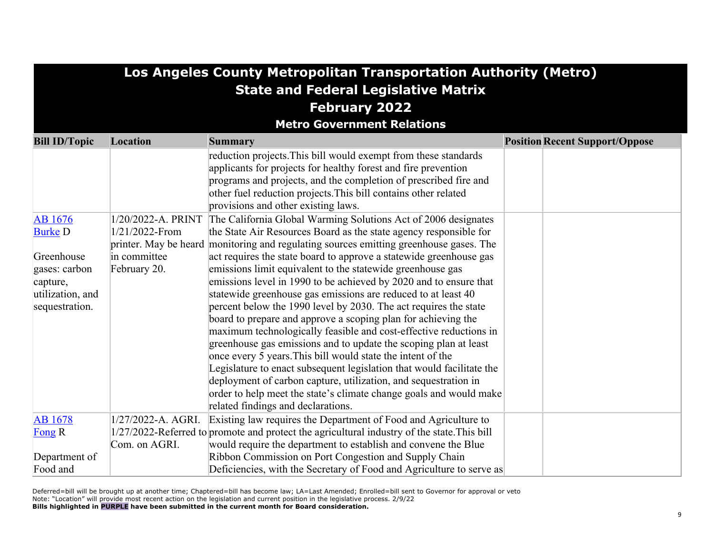| Los Angeles County Metropolitan Transportation Authority (Metro)                                                  |                                                                      |                                                                                                                                                                                                                                                                                                                                                                                                                                                                                                                                                                                                                                                                                                                                                                                                                                                                                                                                                                                                                                                                                                                                                                                                                                                                                                                                                                                           |                                       |  |  |
|-------------------------------------------------------------------------------------------------------------------|----------------------------------------------------------------------|-------------------------------------------------------------------------------------------------------------------------------------------------------------------------------------------------------------------------------------------------------------------------------------------------------------------------------------------------------------------------------------------------------------------------------------------------------------------------------------------------------------------------------------------------------------------------------------------------------------------------------------------------------------------------------------------------------------------------------------------------------------------------------------------------------------------------------------------------------------------------------------------------------------------------------------------------------------------------------------------------------------------------------------------------------------------------------------------------------------------------------------------------------------------------------------------------------------------------------------------------------------------------------------------------------------------------------------------------------------------------------------------|---------------------------------------|--|--|
| <b>State and Federal Legislative Matrix</b>                                                                       |                                                                      |                                                                                                                                                                                                                                                                                                                                                                                                                                                                                                                                                                                                                                                                                                                                                                                                                                                                                                                                                                                                                                                                                                                                                                                                                                                                                                                                                                                           |                                       |  |  |
|                                                                                                                   |                                                                      | <b>February 2022</b>                                                                                                                                                                                                                                                                                                                                                                                                                                                                                                                                                                                                                                                                                                                                                                                                                                                                                                                                                                                                                                                                                                                                                                                                                                                                                                                                                                      |                                       |  |  |
|                                                                                                                   |                                                                      | <b>Metro Government Relations</b>                                                                                                                                                                                                                                                                                                                                                                                                                                                                                                                                                                                                                                                                                                                                                                                                                                                                                                                                                                                                                                                                                                                                                                                                                                                                                                                                                         |                                       |  |  |
| <b>Bill ID/Topic</b>                                                                                              | Location                                                             | <b>Summary</b>                                                                                                                                                                                                                                                                                                                                                                                                                                                                                                                                                                                                                                                                                                                                                                                                                                                                                                                                                                                                                                                                                                                                                                                                                                                                                                                                                                            | <b>Position Recent Support/Oppose</b> |  |  |
| <b>AB</b> 1676<br><b>Burke D</b><br>Greenhouse<br>gases: carbon<br>capture,<br>utilization, and<br>sequestration. | 1/20/2022-A. PRINT<br>1/21/2022-From<br>in committee<br>February 20. | reduction projects. This bill would exempt from these standards<br>applicants for projects for healthy forest and fire prevention<br>programs and projects, and the completion of prescribed fire and<br>other fuel reduction projects. This bill contains other related<br>provisions and other existing laws.<br>The California Global Warming Solutions Act of 2006 designates<br>the State Air Resources Board as the state agency responsible for<br>printer. May be heard monitoring and regulating sources emitting greenhouse gases. The<br>act requires the state board to approve a statewide greenhouse gas<br>emissions limit equivalent to the statewide greenhouse gas<br>emissions level in 1990 to be achieved by 2020 and to ensure that<br>statewide greenhouse gas emissions are reduced to at least 40<br>percent below the 1990 level by 2030. The act requires the state<br>board to prepare and approve a scoping plan for achieving the<br>maximum technologically feasible and cost-effective reductions in<br>greenhouse gas emissions and to update the scoping plan at least<br>once every 5 years. This bill would state the intent of the<br>Legislature to enact subsequent legislation that would facilitate the<br>deployment of carbon capture, utilization, and sequestration in<br>order to help meet the state's climate change goals and would make |                                       |  |  |
| <b>AB</b> 1678                                                                                                    | 1/27/2022-A. AGRI.                                                   | related findings and declarations.<br>Existing law requires the Department of Food and Agriculture to                                                                                                                                                                                                                                                                                                                                                                                                                                                                                                                                                                                                                                                                                                                                                                                                                                                                                                                                                                                                                                                                                                                                                                                                                                                                                     |                                       |  |  |
| Fong $R$                                                                                                          |                                                                      | 1/27/2022-Referred to promote and protect the agricultural industry of the state. This bill                                                                                                                                                                                                                                                                                                                                                                                                                                                                                                                                                                                                                                                                                                                                                                                                                                                                                                                                                                                                                                                                                                                                                                                                                                                                                               |                                       |  |  |
|                                                                                                                   | Com. on AGRI.                                                        | would require the department to establish and convene the Blue                                                                                                                                                                                                                                                                                                                                                                                                                                                                                                                                                                                                                                                                                                                                                                                                                                                                                                                                                                                                                                                                                                                                                                                                                                                                                                                            |                                       |  |  |
| Department of                                                                                                     |                                                                      | Ribbon Commission on Port Congestion and Supply Chain                                                                                                                                                                                                                                                                                                                                                                                                                                                                                                                                                                                                                                                                                                                                                                                                                                                                                                                                                                                                                                                                                                                                                                                                                                                                                                                                     |                                       |  |  |
| Food and                                                                                                          |                                                                      | Deficiencies, with the Secretary of Food and Agriculture to serve as                                                                                                                                                                                                                                                                                                                                                                                                                                                                                                                                                                                                                                                                                                                                                                                                                                                                                                                                                                                                                                                                                                                                                                                                                                                                                                                      |                                       |  |  |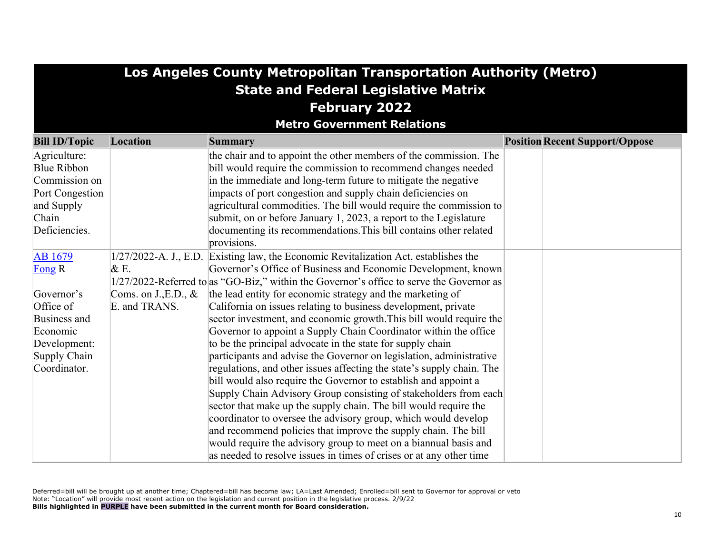| <b>Los Angeles County Metropolitan Transportation Authority (Metro)</b> |                        |                                                                                             |  |                                       |  |  |  |  |
|-------------------------------------------------------------------------|------------------------|---------------------------------------------------------------------------------------------|--|---------------------------------------|--|--|--|--|
| <b>State and Federal Legislative Matrix</b>                             |                        |                                                                                             |  |                                       |  |  |  |  |
|                                                                         | <b>February 2022</b>   |                                                                                             |  |                                       |  |  |  |  |
|                                                                         |                        | <b>Metro Government Relations</b>                                                           |  |                                       |  |  |  |  |
| <b>Bill ID/Topic</b>                                                    | Location               | <b>Summary</b>                                                                              |  | <b>Position Recent Support/Oppose</b> |  |  |  |  |
| Agriculture:                                                            |                        | the chair and to appoint the other members of the commission. The                           |  |                                       |  |  |  |  |
| <b>Blue Ribbon</b>                                                      |                        | bill would require the commission to recommend changes needed                               |  |                                       |  |  |  |  |
| Commission on                                                           |                        | in the immediate and long-term future to mitigate the negative                              |  |                                       |  |  |  |  |
| Port Congestion                                                         |                        | impacts of port congestion and supply chain deficiencies on                                 |  |                                       |  |  |  |  |
| and Supply                                                              |                        | agricultural commodities. The bill would require the commission to                          |  |                                       |  |  |  |  |
| Chain                                                                   |                        | submit, on or before January 1, 2023, a report to the Legislature                           |  |                                       |  |  |  |  |
| Deficiencies.                                                           |                        | documenting its recommendations. This bill contains other related                           |  |                                       |  |  |  |  |
|                                                                         |                        | provisions.                                                                                 |  |                                       |  |  |  |  |
| AB 1679                                                                 |                        | 1/27/2022-A. J., E.D. Existing law, the Economic Revitalization Act, establishes the        |  |                                       |  |  |  |  |
| Fong R                                                                  | &E.                    | Governor's Office of Business and Economic Development, known                               |  |                                       |  |  |  |  |
|                                                                         |                        | $1/27/2022$ -Referred to as "GO-Biz," within the Governor's office to serve the Governor as |  |                                       |  |  |  |  |
| Governor's                                                              | Coms. on J., E.D., $&$ | the lead entity for economic strategy and the marketing of                                  |  |                                       |  |  |  |  |
| Office of                                                               | E. and TRANS.          | California on issues relating to business development, private                              |  |                                       |  |  |  |  |
| Business and                                                            |                        | sector investment, and economic growth. This bill would require the                         |  |                                       |  |  |  |  |
| Economic                                                                |                        | Governor to appoint a Supply Chain Coordinator within the office                            |  |                                       |  |  |  |  |
| Development:                                                            |                        | to be the principal advocate in the state for supply chain                                  |  |                                       |  |  |  |  |
| Supply Chain                                                            |                        | participants and advise the Governor on legislation, administrative                         |  |                                       |  |  |  |  |
| Coordinator.                                                            |                        | regulations, and other issues affecting the state's supply chain. The                       |  |                                       |  |  |  |  |
|                                                                         |                        | bill would also require the Governor to establish and appoint a                             |  |                                       |  |  |  |  |
|                                                                         |                        | Supply Chain Advisory Group consisting of stakeholders from each                            |  |                                       |  |  |  |  |
|                                                                         |                        | sector that make up the supply chain. The bill would require the                            |  |                                       |  |  |  |  |
|                                                                         |                        | coordinator to oversee the advisory group, which would develop                              |  |                                       |  |  |  |  |
|                                                                         |                        | and recommend policies that improve the supply chain. The bill                              |  |                                       |  |  |  |  |
|                                                                         |                        | would require the advisory group to meet on a biannual basis and                            |  |                                       |  |  |  |  |
|                                                                         |                        | as needed to resolve issues in times of crises or at any other time                         |  |                                       |  |  |  |  |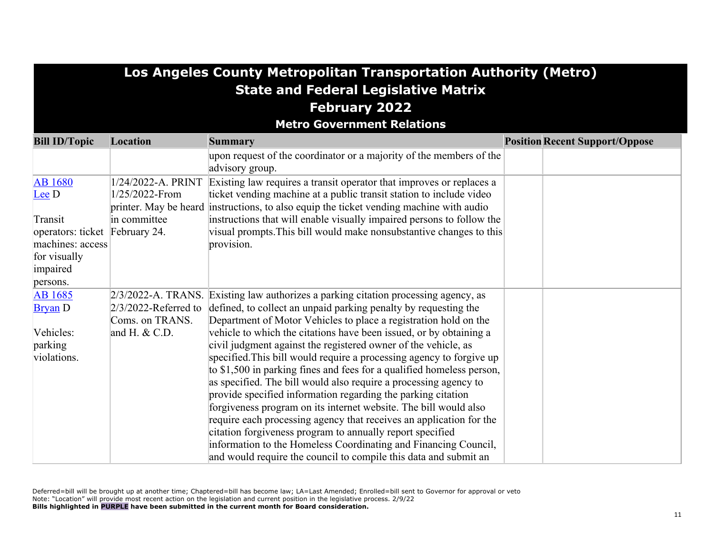# **Los Angeles County Metropolitan Transportation Authority (Metro) State and Federal Legislative Matrix February 2022**

**Metro Government Relations**

| <b>Bill ID/Topic</b>                | Location                                                      | <b>Summary</b>                                                                                                                                                                                                   | <b>Position Recent Support/Oppose</b> |
|-------------------------------------|---------------------------------------------------------------|------------------------------------------------------------------------------------------------------------------------------------------------------------------------------------------------------------------|---------------------------------------|
|                                     |                                                               | upon request of the coordinator or a majority of the members of the<br>advisory group.                                                                                                                           |                                       |
| <b>AB</b> 1680<br>$\mathbf{L}$ ee D | 1/24/2022-A. PRINT<br>1/25/2022-From<br>printer. May be heard | Existing law requires a transit operator that improves or replaces a<br>ticket vending machine at a public transit station to include video<br>instructions, to also equip the ticket vending machine with audio |                                       |
| Transit                             | in committee                                                  | instructions that will enable visually impaired persons to follow the                                                                                                                                            |                                       |
| operators: ticket February 24.      |                                                               | visual prompts. This bill would make nonsubstantive changes to this                                                                                                                                              |                                       |
| machines: access                    |                                                               | provision.                                                                                                                                                                                                       |                                       |
| for visually<br>impaired            |                                                               |                                                                                                                                                                                                                  |                                       |
| persons.                            |                                                               |                                                                                                                                                                                                                  |                                       |
| <b>AB</b> 1685                      |                                                               | $2/3/2022$ -A. TRANS. Existing law authorizes a parking citation processing agency, as                                                                                                                           |                                       |
| <b>Bryan</b> D                      | $2/3/2022$ -Referred to                                       | defined, to collect an unpaid parking penalty by requesting the                                                                                                                                                  |                                       |
|                                     | Coms. on TRANS.                                               | Department of Motor Vehicles to place a registration hold on the                                                                                                                                                 |                                       |
| Vehicles:                           | and H. $&$ C.D.                                               | vehicle to which the citations have been issued, or by obtaining a                                                                                                                                               |                                       |
| parking                             |                                                               | civil judgment against the registered owner of the vehicle, as                                                                                                                                                   |                                       |
| violations.                         |                                                               | specified. This bill would require a processing agency to forgive up                                                                                                                                             |                                       |
|                                     |                                                               | to \$1,500 in parking fines and fees for a qualified homeless person,                                                                                                                                            |                                       |
|                                     |                                                               | as specified. The bill would also require a processing agency to                                                                                                                                                 |                                       |
|                                     |                                                               | provide specified information regarding the parking citation                                                                                                                                                     |                                       |
|                                     |                                                               | forgiveness program on its internet website. The bill would also                                                                                                                                                 |                                       |
|                                     |                                                               | require each processing agency that receives an application for the                                                                                                                                              |                                       |
|                                     |                                                               | citation forgiveness program to annually report specified                                                                                                                                                        |                                       |
|                                     |                                                               | information to the Homeless Coordinating and Financing Council,                                                                                                                                                  |                                       |
|                                     |                                                               | and would require the council to compile this data and submit an                                                                                                                                                 |                                       |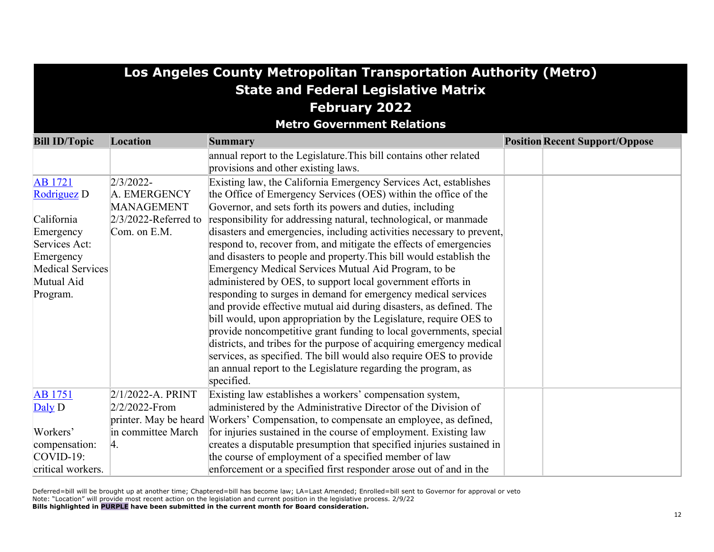| Los Angeles County Metropolitan Transportation Authority (Metro) |                                   |                                                                                                           |                                       |  |  |  |  |  |  |
|------------------------------------------------------------------|-----------------------------------|-----------------------------------------------------------------------------------------------------------|---------------------------------------|--|--|--|--|--|--|
| <b>State and Federal Legislative Matrix</b>                      |                                   |                                                                                                           |                                       |  |  |  |  |  |  |
|                                                                  | <b>February 2022</b>              |                                                                                                           |                                       |  |  |  |  |  |  |
|                                                                  | <b>Metro Government Relations</b> |                                                                                                           |                                       |  |  |  |  |  |  |
| <b>Bill ID/Topic</b>                                             | Location                          | <b>Summary</b>                                                                                            | <b>Position Recent Support/Oppose</b> |  |  |  |  |  |  |
|                                                                  |                                   | annual report to the Legislature. This bill contains other related<br>provisions and other existing laws. |                                       |  |  |  |  |  |  |
| <b>AB</b> 1721                                                   | $2/3/2022$ -                      | Existing law, the California Emergency Services Act, establishes                                          |                                       |  |  |  |  |  |  |
| Rodriguez <sub>D</sub>                                           | A. EMERGENCY                      | the Office of Emergency Services (OES) within the office of the                                           |                                       |  |  |  |  |  |  |
|                                                                  | <b>MANAGEMENT</b>                 | Governor, and sets forth its powers and duties, including                                                 |                                       |  |  |  |  |  |  |
| California                                                       | $2/3/2022$ -Referred to           | responsibility for addressing natural, technological, or manmade                                          |                                       |  |  |  |  |  |  |
| Emergency                                                        | Com. on E.M.                      | disasters and emergencies, including activities necessary to prevent,                                     |                                       |  |  |  |  |  |  |
| Services Act:                                                    |                                   | respond to, recover from, and mitigate the effects of emergencies                                         |                                       |  |  |  |  |  |  |
| Emergency                                                        |                                   | and disasters to people and property. This bill would establish the                                       |                                       |  |  |  |  |  |  |
| <b>Medical Services</b>                                          |                                   | Emergency Medical Services Mutual Aid Program, to be                                                      |                                       |  |  |  |  |  |  |
| Mutual Aid                                                       |                                   | administered by OES, to support local government efforts in                                               |                                       |  |  |  |  |  |  |
| Program.                                                         |                                   | responding to surges in demand for emergency medical services                                             |                                       |  |  |  |  |  |  |
|                                                                  |                                   | and provide effective mutual aid during disasters, as defined. The                                        |                                       |  |  |  |  |  |  |
|                                                                  |                                   | bill would, upon appropriation by the Legislature, require OES to                                         |                                       |  |  |  |  |  |  |
|                                                                  |                                   | provide noncompetitive grant funding to local governments, special                                        |                                       |  |  |  |  |  |  |
|                                                                  |                                   | districts, and tribes for the purpose of acquiring emergency medical                                      |                                       |  |  |  |  |  |  |
|                                                                  |                                   | services, as specified. The bill would also require OES to provide                                        |                                       |  |  |  |  |  |  |
|                                                                  |                                   | an annual report to the Legislature regarding the program, as<br>specified.                               |                                       |  |  |  |  |  |  |
| <b>AB</b> 1751                                                   | $2/1/2022-A. PRINT$               | Existing law establishes a workers' compensation system,                                                  |                                       |  |  |  |  |  |  |
| Daly D                                                           | $2/2/2022$ -From                  | administered by the Administrative Director of the Division of                                            |                                       |  |  |  |  |  |  |
|                                                                  | printer. May be heard             | Workers' Compensation, to compensate an employee, as defined,                                             |                                       |  |  |  |  |  |  |
| Workers'                                                         | in committee March                | for injuries sustained in the course of employment. Existing law                                          |                                       |  |  |  |  |  |  |
| compensation:                                                    | 4.                                | creates a disputable presumption that specified injuries sustained in                                     |                                       |  |  |  |  |  |  |
| $COVID-19:$                                                      |                                   | the course of employment of a specified member of law                                                     |                                       |  |  |  |  |  |  |
| critical workers.                                                |                                   | enforcement or a specified first responder arose out of and in the                                        |                                       |  |  |  |  |  |  |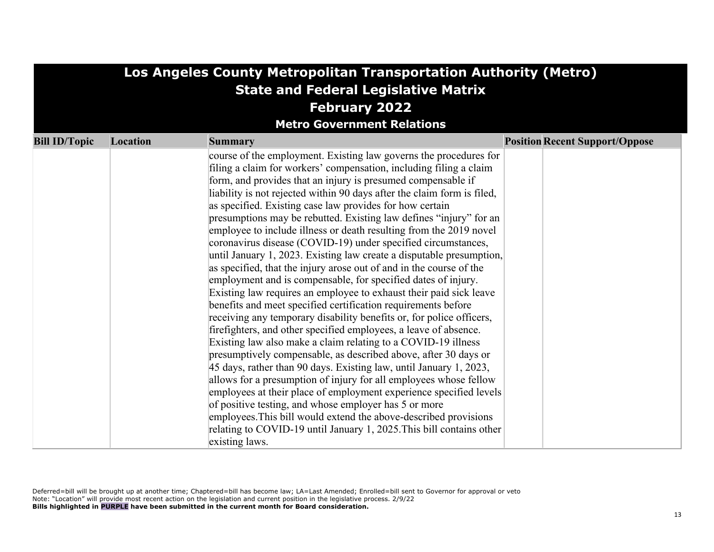| Los Angeles County Metropolitan Transportation Authority (Metro) |                                             |                                                                                                                                          |                                       |  |  |  |  |  |
|------------------------------------------------------------------|---------------------------------------------|------------------------------------------------------------------------------------------------------------------------------------------|---------------------------------------|--|--|--|--|--|
|                                                                  | <b>State and Federal Legislative Matrix</b> |                                                                                                                                          |                                       |  |  |  |  |  |
|                                                                  | <b>February 2022</b>                        |                                                                                                                                          |                                       |  |  |  |  |  |
|                                                                  |                                             | <b>Metro Government Relations</b>                                                                                                        |                                       |  |  |  |  |  |
| <b>Bill ID/Topic</b>                                             | Location                                    | <b>Summary</b>                                                                                                                           | <b>Position Recent Support/Oppose</b> |  |  |  |  |  |
|                                                                  |                                             | course of the employment. Existing law governs the procedures for                                                                        |                                       |  |  |  |  |  |
|                                                                  |                                             | filing a claim for workers' compensation, including filing a claim                                                                       |                                       |  |  |  |  |  |
|                                                                  |                                             | form, and provides that an injury is presumed compensable if                                                                             |                                       |  |  |  |  |  |
|                                                                  |                                             | liability is not rejected within 90 days after the claim form is filed,                                                                  |                                       |  |  |  |  |  |
|                                                                  |                                             | as specified. Existing case law provides for how certain                                                                                 |                                       |  |  |  |  |  |
|                                                                  |                                             | presumptions may be rebutted. Existing law defines "injury" for an<br>employee to include illness or death resulting from the 2019 novel |                                       |  |  |  |  |  |
|                                                                  |                                             | coronavirus disease (COVID-19) under specified circumstances,                                                                            |                                       |  |  |  |  |  |
|                                                                  |                                             | until January 1, 2023. Existing law create a disputable presumption,                                                                     |                                       |  |  |  |  |  |
|                                                                  |                                             | as specified, that the injury arose out of and in the course of the                                                                      |                                       |  |  |  |  |  |
|                                                                  |                                             | employment and is compensable, for specified dates of injury.                                                                            |                                       |  |  |  |  |  |
|                                                                  |                                             | Existing law requires an employee to exhaust their paid sick leave                                                                       |                                       |  |  |  |  |  |
|                                                                  |                                             | benefits and meet specified certification requirements before                                                                            |                                       |  |  |  |  |  |
|                                                                  |                                             | receiving any temporary disability benefits or, for police officers,                                                                     |                                       |  |  |  |  |  |
|                                                                  |                                             | firefighters, and other specified employees, a leave of absence.                                                                         |                                       |  |  |  |  |  |
|                                                                  |                                             | Existing law also make a claim relating to a COVID-19 illness                                                                            |                                       |  |  |  |  |  |
|                                                                  |                                             | presumptively compensable, as described above, after 30 days or                                                                          |                                       |  |  |  |  |  |
|                                                                  |                                             | 45 days, rather than 90 days. Existing law, until January 1, 2023,                                                                       |                                       |  |  |  |  |  |
|                                                                  |                                             | allows for a presumption of injury for all employees whose fellow                                                                        |                                       |  |  |  |  |  |
|                                                                  |                                             | employees at their place of employment experience specified levels                                                                       |                                       |  |  |  |  |  |
|                                                                  |                                             | of positive testing, and whose employer has 5 or more                                                                                    |                                       |  |  |  |  |  |
|                                                                  |                                             | employees. This bill would extend the above-described provisions                                                                         |                                       |  |  |  |  |  |
|                                                                  |                                             | relating to COVID-19 until January 1, 2025. This bill contains other                                                                     |                                       |  |  |  |  |  |
|                                                                  |                                             | existing laws.                                                                                                                           |                                       |  |  |  |  |  |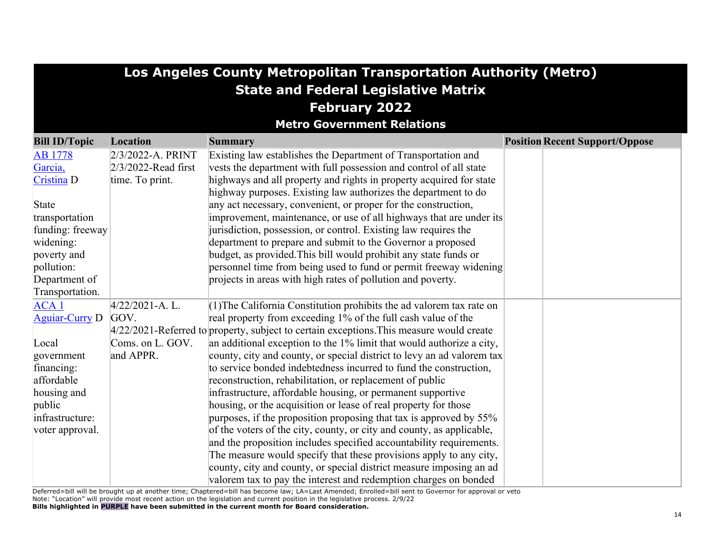|                                    | Los Angeles County Metropolitan Transportation Authority (Metro) |                                                                                                                                        |  |                                       |  |  |
|------------------------------------|------------------------------------------------------------------|----------------------------------------------------------------------------------------------------------------------------------------|--|---------------------------------------|--|--|
|                                    | <b>State and Federal Legislative Matrix</b>                      |                                                                                                                                        |  |                                       |  |  |
| <b>February 2022</b>               |                                                                  |                                                                                                                                        |  |                                       |  |  |
|                                    |                                                                  | <b>Metro Government Relations</b>                                                                                                      |  |                                       |  |  |
|                                    | Location                                                         |                                                                                                                                        |  |                                       |  |  |
| <b>Bill ID/Topic</b>               |                                                                  | <b>Summary</b>                                                                                                                         |  | <b>Position Recent Support/Oppose</b> |  |  |
| <b>AB</b> 1778                     | $2/3/2022$ -A. PRINT                                             | Existing law establishes the Department of Transportation and                                                                          |  |                                       |  |  |
| Garcia,                            | $2/3/2022$ -Read first                                           | vests the department with full possession and control of all state                                                                     |  |                                       |  |  |
| Cristina D                         | time. To print.                                                  | highways and all property and rights in property acquired for state                                                                    |  |                                       |  |  |
|                                    |                                                                  | highway purposes. Existing law authorizes the department to do                                                                         |  |                                       |  |  |
| State                              |                                                                  | any act necessary, convenient, or proper for the construction,                                                                         |  |                                       |  |  |
| transportation<br>funding: freeway |                                                                  | improvement, maintenance, or use of all highways that are under its<br>jurisdiction, possession, or control. Existing law requires the |  |                                       |  |  |
|                                    |                                                                  | department to prepare and submit to the Governor a proposed                                                                            |  |                                       |  |  |
| widening:                          |                                                                  | budget, as provided. This bill would prohibit any state funds or                                                                       |  |                                       |  |  |
| poverty and<br>pollution:          |                                                                  | personnel time from being used to fund or permit freeway widening                                                                      |  |                                       |  |  |
| Department of                      |                                                                  | projects in areas with high rates of pollution and poverty.                                                                            |  |                                       |  |  |
| Transportation.                    |                                                                  |                                                                                                                                        |  |                                       |  |  |
| ACA1                               | $4/22/2021-A. L.$                                                | $(1)$ The California Constitution prohibits the ad valorem tax rate on                                                                 |  |                                       |  |  |
| <b>Aguiar-Curry D</b>              | GOV.                                                             | real property from exceeding 1% of the full cash value of the                                                                          |  |                                       |  |  |
|                                    |                                                                  | $4/22/2021$ -Referred to property, subject to certain exceptions. This measure would create                                            |  |                                       |  |  |
| Local                              | Coms. on L. GOV.                                                 | an additional exception to the 1% limit that would authorize a city,                                                                   |  |                                       |  |  |
| government                         | and APPR.                                                        | county, city and county, or special district to levy an ad valorem tax                                                                 |  |                                       |  |  |
| financing:                         |                                                                  | to service bonded indebtedness incurred to fund the construction,                                                                      |  |                                       |  |  |
| affordable                         |                                                                  | reconstruction, rehabilitation, or replacement of public                                                                               |  |                                       |  |  |
| housing and                        |                                                                  | infrastructure, affordable housing, or permanent supportive                                                                            |  |                                       |  |  |
| public                             |                                                                  | housing, or the acquisition or lease of real property for those                                                                        |  |                                       |  |  |
| infrastructure:                    |                                                                  | purposes, if the proposition proposing that tax is approved by 55%                                                                     |  |                                       |  |  |
| voter approval.                    |                                                                  | of the voters of the city, county, or city and county, as applicable,                                                                  |  |                                       |  |  |
|                                    |                                                                  | and the proposition includes specified accountability requirements.                                                                    |  |                                       |  |  |
|                                    |                                                                  | The measure would specify that these provisions apply to any city,                                                                     |  |                                       |  |  |
|                                    |                                                                  | county, city and county, or special district measure imposing an ad                                                                    |  |                                       |  |  |
|                                    |                                                                  | valorem tax to pay the interest and redemption charges on bonded                                                                       |  |                                       |  |  |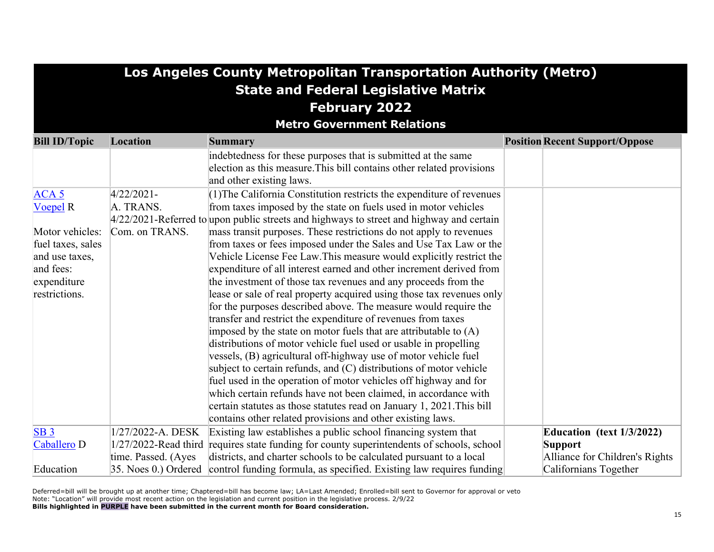| Los Angeles County Metropolitan Transportation Authority (Metro) |                      |                                                                                             |  |                                       |  |  |
|------------------------------------------------------------------|----------------------|---------------------------------------------------------------------------------------------|--|---------------------------------------|--|--|
| <b>State and Federal Legislative Matrix</b>                      |                      |                                                                                             |  |                                       |  |  |
| <b>February 2022</b>                                             |                      |                                                                                             |  |                                       |  |  |
|                                                                  |                      | <b>Metro Government Relations</b>                                                           |  |                                       |  |  |
| <b>Bill ID/Topic</b>                                             | Location             | <b>Summary</b>                                                                              |  | <b>Position Recent Support/Oppose</b> |  |  |
|                                                                  |                      | indebtedness for these purposes that is submitted at the same                               |  |                                       |  |  |
|                                                                  |                      | election as this measure. This bill contains other related provisions                       |  |                                       |  |  |
|                                                                  |                      | and other existing laws.                                                                    |  |                                       |  |  |
| ACA <sub>5</sub>                                                 | $4/22/2021 -$        | (1) The California Constitution restricts the expenditure of revenues                       |  |                                       |  |  |
| <b>Voepel R</b>                                                  | A. TRANS.            | from taxes imposed by the state on fuels used in motor vehicles                             |  |                                       |  |  |
|                                                                  |                      | $4/22/2021$ -Referred to upon public streets and highways to street and highway and certain |  |                                       |  |  |
| Motor vehicles:                                                  | Com. on TRANS.       | mass transit purposes. These restrictions do not apply to revenues                          |  |                                       |  |  |
| fuel taxes, sales                                                |                      | from taxes or fees imposed under the Sales and Use Tax Law or the                           |  |                                       |  |  |
| and use taxes,                                                   |                      | Vehicle License Fee Law. This measure would explicitly restrict the                         |  |                                       |  |  |
| and fees:                                                        |                      | expenditure of all interest earned and other increment derived from                         |  |                                       |  |  |
| expenditure                                                      |                      | the investment of those tax revenues and any proceeds from the                              |  |                                       |  |  |
| restrictions.                                                    |                      | lease or sale of real property acquired using those tax revenues only                       |  |                                       |  |  |
|                                                                  |                      | for the purposes described above. The measure would require the                             |  |                                       |  |  |
|                                                                  |                      | transfer and restrict the expenditure of revenues from taxes                                |  |                                       |  |  |
|                                                                  |                      | imposed by the state on motor fuels that are attributable to $(A)$                          |  |                                       |  |  |
|                                                                  |                      | distributions of motor vehicle fuel used or usable in propelling                            |  |                                       |  |  |
|                                                                  |                      | vessels, (B) agricultural off-highway use of motor vehicle fuel                             |  |                                       |  |  |
|                                                                  |                      | subject to certain refunds, and (C) distributions of motor vehicle                          |  |                                       |  |  |
|                                                                  |                      | fuel used in the operation of motor vehicles off highway and for                            |  |                                       |  |  |
|                                                                  |                      | which certain refunds have not been claimed, in accordance with                             |  |                                       |  |  |
|                                                                  |                      | certain statutes as those statutes read on January 1, 2021. This bill                       |  |                                       |  |  |
|                                                                  |                      | contains other related provisions and other existing laws.                                  |  |                                       |  |  |
| SB <sub>3</sub>                                                  | 1/27/2022-A. DESK    | Existing law establishes a public school financing system that                              |  | Education (text 1/3/2022)             |  |  |
| Caballero D                                                      | 1/27/2022-Read third | requires state funding for county superintendents of schools, school                        |  | <b>Support</b>                        |  |  |
|                                                                  | time. Passed. (Ayes  | districts, and charter schools to be calculated pursuant to a local                         |  | Alliance for Children's Rights        |  |  |
| Education                                                        | 35. Noes 0.) Ordered | control funding formula, as specified. Existing law requires funding                        |  | Californians Together                 |  |  |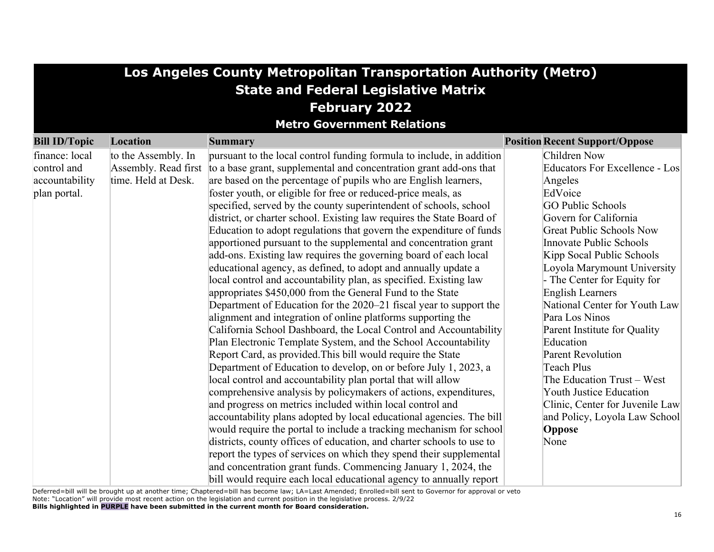|                      | Los Angeles County Metropolitan Transportation Authority (Metro) |                                                                       |                                       |  |  |  |
|----------------------|------------------------------------------------------------------|-----------------------------------------------------------------------|---------------------------------------|--|--|--|
|                      | <b>State and Federal Legislative Matrix</b>                      |                                                                       |                                       |  |  |  |
|                      |                                                                  | <b>February 2022</b>                                                  |                                       |  |  |  |
|                      |                                                                  | <b>Metro Government Relations</b>                                     |                                       |  |  |  |
|                      |                                                                  |                                                                       |                                       |  |  |  |
| <b>Bill ID/Topic</b> | Location                                                         | <b>Summary</b>                                                        | <b>Position Recent Support/Oppose</b> |  |  |  |
| finance: local       | to the Assembly. In                                              | pursuant to the local control funding formula to include, in addition | Children Now                          |  |  |  |
| control and          | Assembly. Read first                                             | to a base grant, supplemental and concentration grant add-ons that    | Educators For Excellence - Los        |  |  |  |
| accountability       | time. Held at Desk.                                              | are based on the percentage of pupils who are English learners,       | Angeles                               |  |  |  |
| plan portal.         |                                                                  | foster youth, or eligible for free or reduced-price meals, as         | EdVoice                               |  |  |  |
|                      |                                                                  | specified, served by the county superintendent of schools, school     | <b>GO Public Schools</b>              |  |  |  |
|                      |                                                                  | district, or charter school. Existing law requires the State Board of | Govern for California                 |  |  |  |
|                      |                                                                  | Education to adopt regulations that govern the expenditure of funds   | <b>Great Public Schools Now</b>       |  |  |  |
|                      |                                                                  | apportioned pursuant to the supplemental and concentration grant      | Innovate Public Schools               |  |  |  |
|                      |                                                                  | add-ons. Existing law requires the governing board of each local      | Kipp Socal Public Schools             |  |  |  |
|                      |                                                                  | educational agency, as defined, to adopt and annually update a        | Loyola Marymount University           |  |  |  |
|                      |                                                                  | local control and accountability plan, as specified. Existing law     | - The Center for Equity for           |  |  |  |
|                      |                                                                  | appropriates \$450,000 from the General Fund to the State             | <b>English Learners</b>               |  |  |  |
|                      |                                                                  | Department of Education for the 2020–21 fiscal year to support the    | National Center for Youth Law         |  |  |  |
|                      |                                                                  | alignment and integration of online platforms supporting the          | Para Los Ninos                        |  |  |  |
|                      |                                                                  | California School Dashboard, the Local Control and Accountability     | Parent Institute for Quality          |  |  |  |
|                      |                                                                  | Plan Electronic Template System, and the School Accountability        | Education                             |  |  |  |
|                      |                                                                  | Report Card, as provided. This bill would require the State           | <b>Parent Revolution</b>              |  |  |  |
|                      |                                                                  | Department of Education to develop, on or before July 1, 2023, a      | Teach Plus                            |  |  |  |
|                      |                                                                  | local control and accountability plan portal that will allow          | The Education Trust - West            |  |  |  |
|                      |                                                                  | comprehensive analysis by policymakers of actions, expenditures,      | <b>Youth Justice Education</b>        |  |  |  |
|                      |                                                                  | and progress on metrics included within local control and             | Clinic, Center for Juvenile Law       |  |  |  |
|                      |                                                                  | accountability plans adopted by local educational agencies. The bill  | and Policy, Loyola Law School         |  |  |  |
|                      |                                                                  | would require the portal to include a tracking mechanism for school   | Oppose                                |  |  |  |
|                      |                                                                  | districts, county offices of education, and charter schools to use to | None                                  |  |  |  |
|                      |                                                                  | report the types of services on which they spend their supplemental   |                                       |  |  |  |
|                      |                                                                  | and concentration grant funds. Commencing January 1, 2024, the        |                                       |  |  |  |
|                      |                                                                  | bill would require each local educational agency to annually report   |                                       |  |  |  |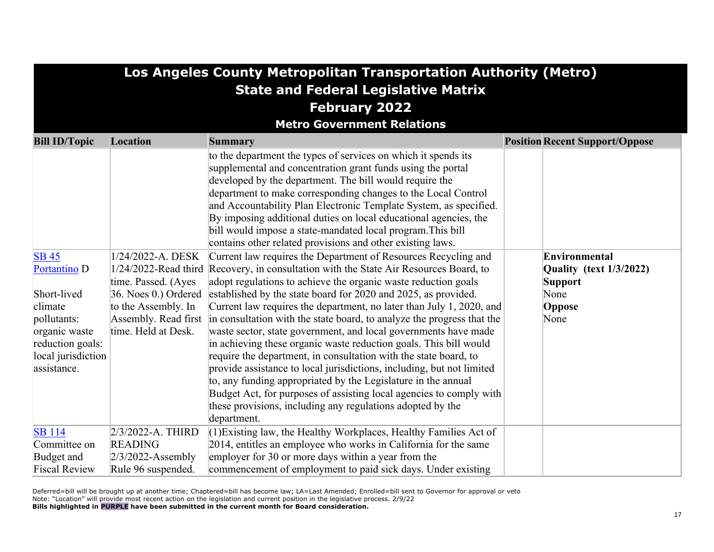|                                                                                                                                                            | Los Angeles County Metropolitan Transportation Authority (Metro)                                                                                               |                                                                                                                                                                                                                                                                                                                                                                                                                                                                                                                                                                                                                                                                                                                                                                                                                                                                                                                                                                                                                                                                                                                                                                                                                                                                    |                                                                                      |  |  |  |  |
|------------------------------------------------------------------------------------------------------------------------------------------------------------|----------------------------------------------------------------------------------------------------------------------------------------------------------------|--------------------------------------------------------------------------------------------------------------------------------------------------------------------------------------------------------------------------------------------------------------------------------------------------------------------------------------------------------------------------------------------------------------------------------------------------------------------------------------------------------------------------------------------------------------------------------------------------------------------------------------------------------------------------------------------------------------------------------------------------------------------------------------------------------------------------------------------------------------------------------------------------------------------------------------------------------------------------------------------------------------------------------------------------------------------------------------------------------------------------------------------------------------------------------------------------------------------------------------------------------------------|--------------------------------------------------------------------------------------|--|--|--|--|
| <b>State and Federal Legislative Matrix</b>                                                                                                                |                                                                                                                                                                |                                                                                                                                                                                                                                                                                                                                                                                                                                                                                                                                                                                                                                                                                                                                                                                                                                                                                                                                                                                                                                                                                                                                                                                                                                                                    |                                                                                      |  |  |  |  |
|                                                                                                                                                            | <b>February 2022</b>                                                                                                                                           |                                                                                                                                                                                                                                                                                                                                                                                                                                                                                                                                                                                                                                                                                                                                                                                                                                                                                                                                                                                                                                                                                                                                                                                                                                                                    |                                                                                      |  |  |  |  |
|                                                                                                                                                            |                                                                                                                                                                | <b>Metro Government Relations</b>                                                                                                                                                                                                                                                                                                                                                                                                                                                                                                                                                                                                                                                                                                                                                                                                                                                                                                                                                                                                                                                                                                                                                                                                                                  |                                                                                      |  |  |  |  |
| <b>Bill ID/Topic</b>                                                                                                                                       | Location                                                                                                                                                       |                                                                                                                                                                                                                                                                                                                                                                                                                                                                                                                                                                                                                                                                                                                                                                                                                                                                                                                                                                                                                                                                                                                                                                                                                                                                    | <b>Position Recent Support/Oppose</b>                                                |  |  |  |  |
| <b>SB 45</b><br>Portantino <sub>D</sub><br>Short-lived<br>climate<br>pollutants:<br>organic waste<br>reduction goals:<br>local jurisdiction<br>assistance. | 1/24/2022-A. DESK<br>1/24/2022-Read third<br>time. Passed. (Ayes<br>36. Noes 0.) Ordered<br>to the Assembly. In<br>Assembly. Read first<br>time. Held at Desk. | <b>Summary</b><br>to the department the types of services on which it spends its<br>supplemental and concentration grant funds using the portal<br>developed by the department. The bill would require the<br>department to make corresponding changes to the Local Control<br>and Accountability Plan Electronic Template System, as specified.<br>By imposing additional duties on local educational agencies, the<br>bill would impose a state-mandated local program. This bill<br>contains other related provisions and other existing laws.<br>Current law requires the Department of Resources Recycling and<br>Recovery, in consultation with the State Air Resources Board, to<br>adopt regulations to achieve the organic waste reduction goals<br>established by the state board for 2020 and 2025, as provided.<br>Current law requires the department, no later than July 1, 2020, and<br>in consultation with the state board, to analyze the progress that the<br>waste sector, state government, and local governments have made<br>in achieving these organic waste reduction goals. This bill would<br>require the department, in consultation with the state board, to<br>provide assistance to local jurisdictions, including, but not limited | Environmental<br>Quality (text 1/3/2022)<br><b>Support</b><br>None<br>Oppose<br>None |  |  |  |  |
|                                                                                                                                                            |                                                                                                                                                                | to, any funding appropriated by the Legislature in the annual<br>Budget Act, for purposes of assisting local agencies to comply with<br>these provisions, including any regulations adopted by the<br>department.                                                                                                                                                                                                                                                                                                                                                                                                                                                                                                                                                                                                                                                                                                                                                                                                                                                                                                                                                                                                                                                  |                                                                                      |  |  |  |  |
| <b>SB</b> 114<br>Committee on<br>Budget and                                                                                                                | $2/3/2022-A.$ THIRD<br><b>READING</b><br>$2/3/2022$ -Assembly                                                                                                  | $(1)$ Existing law, the Healthy Workplaces, Healthy Families Act of<br>2014, entitles an employee who works in California for the same<br>employer for 30 or more days within a year from the                                                                                                                                                                                                                                                                                                                                                                                                                                                                                                                                                                                                                                                                                                                                                                                                                                                                                                                                                                                                                                                                      |                                                                                      |  |  |  |  |
| <b>Fiscal Review</b>                                                                                                                                       | Rule 96 suspended.                                                                                                                                             | commencement of employment to paid sick days. Under existing                                                                                                                                                                                                                                                                                                                                                                                                                                                                                                                                                                                                                                                                                                                                                                                                                                                                                                                                                                                                                                                                                                                                                                                                       |                                                                                      |  |  |  |  |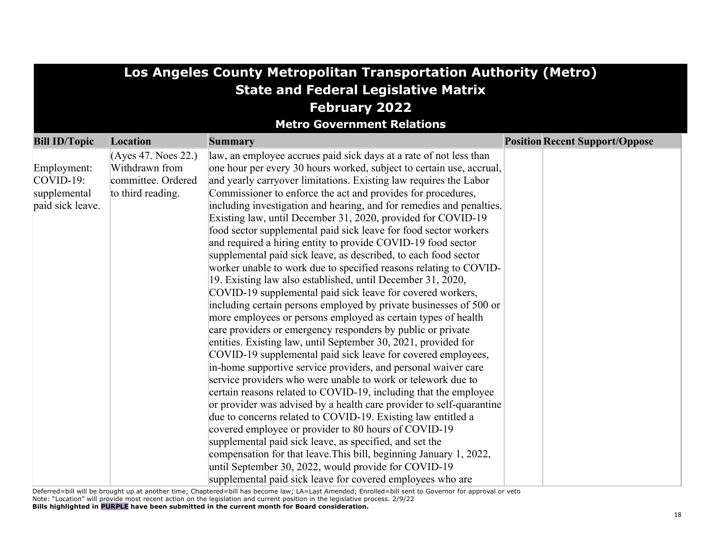| Los Angeles County Metropolitan Transportation Authority (Metro) |                                       |                                                                                                                                  |                                       |  |  |  |
|------------------------------------------------------------------|---------------------------------------|----------------------------------------------------------------------------------------------------------------------------------|---------------------------------------|--|--|--|
| <b>State and Federal Legislative Matrix</b>                      |                                       |                                                                                                                                  |                                       |  |  |  |
| <b>February 2022</b>                                             |                                       |                                                                                                                                  |                                       |  |  |  |
|                                                                  |                                       | <b>Metro Government Relations</b>                                                                                                |                                       |  |  |  |
| <b>Bill ID/Topic</b>                                             | Location                              | <b>Summary</b>                                                                                                                   | <b>Position Recent Support/Oppose</b> |  |  |  |
|                                                                  |                                       |                                                                                                                                  |                                       |  |  |  |
|                                                                  | (Ayes 47. Noes 22.)<br>Withdrawn from | law, an employee accrues paid sick days at a rate of not less than                                                               |                                       |  |  |  |
| Employment:<br>$COVID-19:$                                       | committee. Ordered                    | one hour per every 30 hours worked, subject to certain use, accrual,                                                             |                                       |  |  |  |
|                                                                  |                                       | and yearly carryover limitations. Existing law requires the Labor                                                                |                                       |  |  |  |
| supplemental                                                     | to third reading.                     | Commissioner to enforce the act and provides for procedures,                                                                     |                                       |  |  |  |
| paid sick leave.                                                 |                                       | including investigation and hearing, and for remedies and penalties.                                                             |                                       |  |  |  |
|                                                                  |                                       | Existing law, until December 31, 2020, provided for COVID-19<br>food sector supplemental paid sick leave for food sector workers |                                       |  |  |  |
|                                                                  |                                       |                                                                                                                                  |                                       |  |  |  |
|                                                                  |                                       | and required a hiring entity to provide COVID-19 food sector<br>supplemental paid sick leave, as described, to each food sector  |                                       |  |  |  |
|                                                                  |                                       |                                                                                                                                  |                                       |  |  |  |
|                                                                  |                                       | worker unable to work due to specified reasons relating to COVID-                                                                |                                       |  |  |  |
|                                                                  |                                       | 19. Existing law also established, until December 31, 2020,                                                                      |                                       |  |  |  |
|                                                                  |                                       | COVID-19 supplemental paid sick leave for covered workers,                                                                       |                                       |  |  |  |
|                                                                  |                                       | including certain persons employed by private businesses of 500 or                                                               |                                       |  |  |  |
|                                                                  |                                       | more employees or persons employed as certain types of health                                                                    |                                       |  |  |  |
|                                                                  |                                       | care providers or emergency responders by public or private                                                                      |                                       |  |  |  |
|                                                                  |                                       | entities. Existing law, until September 30, 2021, provided for                                                                   |                                       |  |  |  |
|                                                                  |                                       | COVID-19 supplemental paid sick leave for covered employees,                                                                     |                                       |  |  |  |
|                                                                  |                                       | in-home supportive service providers, and personal waiver care                                                                   |                                       |  |  |  |
|                                                                  |                                       | service providers who were unable to work or telework due to                                                                     |                                       |  |  |  |
|                                                                  |                                       | certain reasons related to COVID-19, including that the employee                                                                 |                                       |  |  |  |
|                                                                  |                                       | or provider was advised by a health care provider to self-quarantine                                                             |                                       |  |  |  |
|                                                                  |                                       | due to concerns related to COVID-19. Existing law entitled a                                                                     |                                       |  |  |  |
|                                                                  |                                       | covered employee or provider to 80 hours of COVID-19                                                                             |                                       |  |  |  |
|                                                                  |                                       | supplemental paid sick leave, as specified, and set the                                                                          |                                       |  |  |  |
|                                                                  |                                       | compensation for that leave. This bill, beginning January 1, 2022,                                                               |                                       |  |  |  |
|                                                                  |                                       | until September 30, 2022, would provide for COVID-19                                                                             |                                       |  |  |  |
|                                                                  |                                       | supplemental paid sick leave for covered employees who are                                                                       |                                       |  |  |  |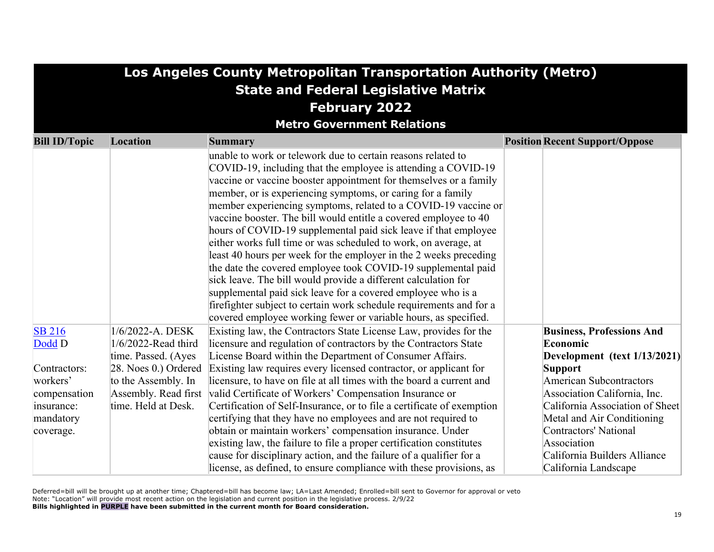|                                                                                  | Los Angeles County Metropolitan Transportation Authority (Metro)                                                  |                                                                                                                                                                                                                                                                                                                                                                                                                                                                                                                                                                                                                                                                                                                                                                                                                                                                                                                                                                 |                                                                                                                                                                                                                                                                                      |  |  |  |  |
|----------------------------------------------------------------------------------|-------------------------------------------------------------------------------------------------------------------|-----------------------------------------------------------------------------------------------------------------------------------------------------------------------------------------------------------------------------------------------------------------------------------------------------------------------------------------------------------------------------------------------------------------------------------------------------------------------------------------------------------------------------------------------------------------------------------------------------------------------------------------------------------------------------------------------------------------------------------------------------------------------------------------------------------------------------------------------------------------------------------------------------------------------------------------------------------------|--------------------------------------------------------------------------------------------------------------------------------------------------------------------------------------------------------------------------------------------------------------------------------------|--|--|--|--|
|                                                                                  | <b>State and Federal Legislative Matrix</b>                                                                       |                                                                                                                                                                                                                                                                                                                                                                                                                                                                                                                                                                                                                                                                                                                                                                                                                                                                                                                                                                 |                                                                                                                                                                                                                                                                                      |  |  |  |  |
|                                                                                  | <b>February 2022</b>                                                                                              |                                                                                                                                                                                                                                                                                                                                                                                                                                                                                                                                                                                                                                                                                                                                                                                                                                                                                                                                                                 |                                                                                                                                                                                                                                                                                      |  |  |  |  |
|                                                                                  |                                                                                                                   | <b>Metro Government Relations</b>                                                                                                                                                                                                                                                                                                                                                                                                                                                                                                                                                                                                                                                                                                                                                                                                                                                                                                                               |                                                                                                                                                                                                                                                                                      |  |  |  |  |
| <b>Bill ID/Topic</b>                                                             | Location                                                                                                          | <b>Summary</b>                                                                                                                                                                                                                                                                                                                                                                                                                                                                                                                                                                                                                                                                                                                                                                                                                                                                                                                                                  | <b>Position Recent Support/Oppose</b>                                                                                                                                                                                                                                                |  |  |  |  |
|                                                                                  |                                                                                                                   | unable to work or telework due to certain reasons related to<br>COVID-19, including that the employee is attending a COVID-19<br>vaccine or vaccine booster appointment for themselves or a family<br>member, or is experiencing symptoms, or caring for a family<br>member experiencing symptoms, related to a COVID-19 vaccine or<br>vaccine booster. The bill would entitle a covered employee to 40<br>hours of COVID-19 supplemental paid sick leave if that employee<br>either works full time or was scheduled to work, on average, at<br>least 40 hours per week for the employer in the 2 weeks preceding<br>the date the covered employee took COVID-19 supplemental paid<br>sick leave. The bill would provide a different calculation for<br>supplemental paid sick leave for a covered employee who is a<br>firefighter subject to certain work schedule requirements and for a<br>covered employee working fewer or variable hours, as specified. |                                                                                                                                                                                                                                                                                      |  |  |  |  |
| <b>SB 216</b><br>Dodd D                                                          | 1/6/2022-A. DESK<br>1/6/2022-Read third                                                                           | Existing law, the Contractors State License Law, provides for the<br>licensure and regulation of contractors by the Contractors State                                                                                                                                                                                                                                                                                                                                                                                                                                                                                                                                                                                                                                                                                                                                                                                                                           | <b>Business, Professions And</b><br>Economic                                                                                                                                                                                                                                         |  |  |  |  |
| Contractors:<br>workers'<br>compensation<br>insurance:<br>mandatory<br>coverage. | time. Passed. (Ayes<br>28. Noes 0.) Ordered<br>to the Assembly. In<br>Assembly. Read first<br>time. Held at Desk. | License Board within the Department of Consumer Affairs.<br>Existing law requires every licensed contractor, or applicant for<br>licensure, to have on file at all times with the board a current and<br>valid Certificate of Workers' Compensation Insurance or<br>Certification of Self-Insurance, or to file a certificate of exemption<br>certifying that they have no employees and are not required to<br>obtain or maintain workers' compensation insurance. Under<br>existing law, the failure to file a proper certification constitutes<br>cause for disciplinary action, and the failure of a qualifier for a<br>license, as defined, to ensure compliance with these provisions, as                                                                                                                                                                                                                                                                 | Development (text $1/13/2021$ )<br><b>Support</b><br><b>American Subcontractors</b><br>Association California, Inc.<br>California Association of Sheet<br>Metal and Air Conditioning<br>Contractors' National<br>Association<br>California Builders Alliance<br>California Landscape |  |  |  |  |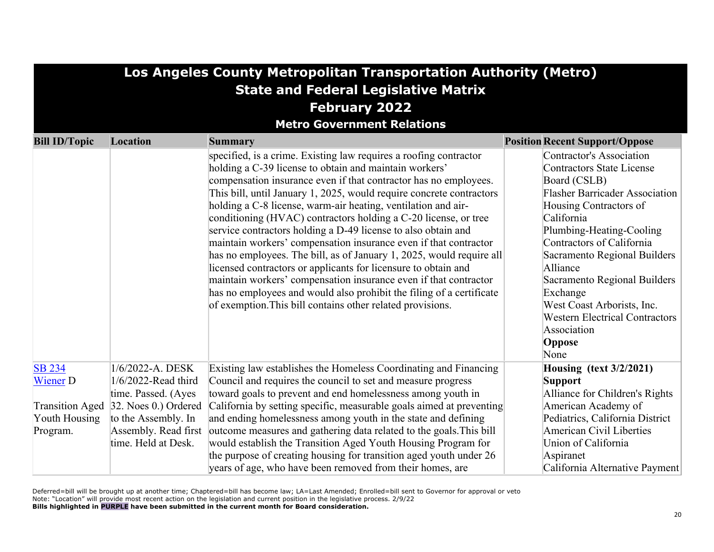| Los Angeles County Metropolitan Transportation Authority (Metro) |                                             |                                                                                                                                                                                                                                                                                                                                                                                                                                                                                                                                                                                                                                                                                                                                                                                                                                                                                                      |                                                                                                                                                                                                                                                                                                                                                                                                                               |  |  |  |  |
|------------------------------------------------------------------|---------------------------------------------|------------------------------------------------------------------------------------------------------------------------------------------------------------------------------------------------------------------------------------------------------------------------------------------------------------------------------------------------------------------------------------------------------------------------------------------------------------------------------------------------------------------------------------------------------------------------------------------------------------------------------------------------------------------------------------------------------------------------------------------------------------------------------------------------------------------------------------------------------------------------------------------------------|-------------------------------------------------------------------------------------------------------------------------------------------------------------------------------------------------------------------------------------------------------------------------------------------------------------------------------------------------------------------------------------------------------------------------------|--|--|--|--|
|                                                                  | <b>State and Federal Legislative Matrix</b> |                                                                                                                                                                                                                                                                                                                                                                                                                                                                                                                                                                                                                                                                                                                                                                                                                                                                                                      |                                                                                                                                                                                                                                                                                                                                                                                                                               |  |  |  |  |
|                                                                  |                                             | <b>February 2022</b>                                                                                                                                                                                                                                                                                                                                                                                                                                                                                                                                                                                                                                                                                                                                                                                                                                                                                 |                                                                                                                                                                                                                                                                                                                                                                                                                               |  |  |  |  |
|                                                                  |                                             | <b>Metro Government Relations</b>                                                                                                                                                                                                                                                                                                                                                                                                                                                                                                                                                                                                                                                                                                                                                                                                                                                                    |                                                                                                                                                                                                                                                                                                                                                                                                                               |  |  |  |  |
| <b>Bill ID/Topic</b>                                             | <b>Location</b>                             | <b>Summary</b>                                                                                                                                                                                                                                                                                                                                                                                                                                                                                                                                                                                                                                                                                                                                                                                                                                                                                       | <b>Position Recent Support/Oppose</b>                                                                                                                                                                                                                                                                                                                                                                                         |  |  |  |  |
|                                                                  |                                             | specified, is a crime. Existing law requires a roofing contractor<br>holding a C-39 license to obtain and maintain workers'<br>compensation insurance even if that contractor has no employees.<br>This bill, until January 1, 2025, would require concrete contractors<br>holding a C-8 license, warm-air heating, ventilation and air-<br>conditioning (HVAC) contractors holding a C-20 license, or tree<br>service contractors holding a D-49 license to also obtain and<br>maintain workers' compensation insurance even if that contractor<br>has no employees. The bill, as of January 1, 2025, would require all<br>licensed contractors or applicants for licensure to obtain and<br>maintain workers' compensation insurance even if that contractor<br>has no employees and would also prohibit the filing of a certificate<br>of exemption. This bill contains other related provisions. | <b>Contractor's Association</b><br><b>Contractors State License</b><br>Board (CSLB)<br><b>Flasher Barricader Association</b><br>Housing Contractors of<br>California<br>Plumbing-Heating-Cooling<br>Contractors of California<br>Sacramento Regional Builders<br>Alliance<br>Sacramento Regional Builders<br>Exchange<br>West Coast Arborists, Inc.<br><b>Western Electrical Contractors</b><br>Association<br>Oppose<br>None |  |  |  |  |
| <b>SB 234</b><br><b>Wiener D</b>                                 | 1/6/2022-A. DESK<br>$1/6/2022$ -Read third  | Existing law establishes the Homeless Coordinating and Financing<br>Council and requires the council to set and measure progress                                                                                                                                                                                                                                                                                                                                                                                                                                                                                                                                                                                                                                                                                                                                                                     | <b>Housing (text 3/2/2021)</b><br><b>Support</b>                                                                                                                                                                                                                                                                                                                                                                              |  |  |  |  |
|                                                                  | time. Passed. (Ayes                         | toward goals to prevent and end homelessness among youth in                                                                                                                                                                                                                                                                                                                                                                                                                                                                                                                                                                                                                                                                                                                                                                                                                                          | Alliance for Children's Rights                                                                                                                                                                                                                                                                                                                                                                                                |  |  |  |  |
| <b>Transition Aged</b>                                           | 32. Noes 0.) Ordered                        | California by setting specific, measurable goals aimed at preventing                                                                                                                                                                                                                                                                                                                                                                                                                                                                                                                                                                                                                                                                                                                                                                                                                                 | American Academy of                                                                                                                                                                                                                                                                                                                                                                                                           |  |  |  |  |
| Youth Housing                                                    | to the Assembly. In                         | and ending homelessness among youth in the state and defining                                                                                                                                                                                                                                                                                                                                                                                                                                                                                                                                                                                                                                                                                                                                                                                                                                        | Pediatrics, California District                                                                                                                                                                                                                                                                                                                                                                                               |  |  |  |  |
| Program.                                                         | Assembly. Read first                        | outcome measures and gathering data related to the goals. This bill                                                                                                                                                                                                                                                                                                                                                                                                                                                                                                                                                                                                                                                                                                                                                                                                                                  | <b>American Civil Liberties</b>                                                                                                                                                                                                                                                                                                                                                                                               |  |  |  |  |
|                                                                  | time. Held at Desk.                         | would establish the Transition Aged Youth Housing Program for                                                                                                                                                                                                                                                                                                                                                                                                                                                                                                                                                                                                                                                                                                                                                                                                                                        | Union of California                                                                                                                                                                                                                                                                                                                                                                                                           |  |  |  |  |
|                                                                  |                                             | the purpose of creating housing for transition aged youth under 26                                                                                                                                                                                                                                                                                                                                                                                                                                                                                                                                                                                                                                                                                                                                                                                                                                   | Aspiranet                                                                                                                                                                                                                                                                                                                                                                                                                     |  |  |  |  |
|                                                                  |                                             | years of age, who have been removed from their homes, are                                                                                                                                                                                                                                                                                                                                                                                                                                                                                                                                                                                                                                                                                                                                                                                                                                            | California Alternative Payment                                                                                                                                                                                                                                                                                                                                                                                                |  |  |  |  |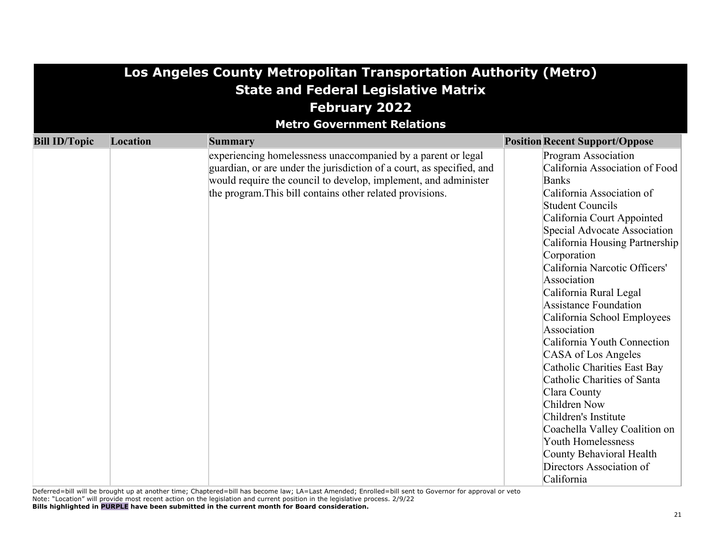| Los Angeles County Metropolitan Transportation Authority (Metro) |                                             |                                                                                                                                                                                                                                                                                  |                                                                                                                                                                                                                                                                                                                                                                                                                                                                                                                                                                                                                                                                                                               |  |  |  |  |
|------------------------------------------------------------------|---------------------------------------------|----------------------------------------------------------------------------------------------------------------------------------------------------------------------------------------------------------------------------------------------------------------------------------|---------------------------------------------------------------------------------------------------------------------------------------------------------------------------------------------------------------------------------------------------------------------------------------------------------------------------------------------------------------------------------------------------------------------------------------------------------------------------------------------------------------------------------------------------------------------------------------------------------------------------------------------------------------------------------------------------------------|--|--|--|--|
|                                                                  | <b>State and Federal Legislative Matrix</b> |                                                                                                                                                                                                                                                                                  |                                                                                                                                                                                                                                                                                                                                                                                                                                                                                                                                                                                                                                                                                                               |  |  |  |  |
|                                                                  |                                             | <b>February 2022</b>                                                                                                                                                                                                                                                             |                                                                                                                                                                                                                                                                                                                                                                                                                                                                                                                                                                                                                                                                                                               |  |  |  |  |
|                                                                  |                                             | <b>Metro Government Relations</b>                                                                                                                                                                                                                                                |                                                                                                                                                                                                                                                                                                                                                                                                                                                                                                                                                                                                                                                                                                               |  |  |  |  |
| <b>Bill ID/Topic</b>                                             | Location                                    |                                                                                                                                                                                                                                                                                  | <b>Position Recent Support/Oppose</b>                                                                                                                                                                                                                                                                                                                                                                                                                                                                                                                                                                                                                                                                         |  |  |  |  |
|                                                                  |                                             | Summary<br>experiencing homelessness unaccompanied by a parent or legal<br>guardian, or are under the jurisdiction of a court, as specified, and<br>would require the council to develop, implement, and administer<br>the program. This bill contains other related provisions. | Program Association<br>California Association of Food<br><b>Banks</b><br>California Association of<br><b>Student Councils</b><br>California Court Appointed<br>Special Advocate Association<br>California Housing Partnership<br>Corporation<br>California Narcotic Officers'<br>Association<br>California Rural Legal<br>Assistance Foundation<br>California School Employees<br>Association<br>California Youth Connection<br>CASA of Los Angeles<br>Catholic Charities East Bay<br>Catholic Charities of Santa<br>Clara County<br>Children Now<br>Children's Institute<br>Coachella Valley Coalition on<br><b>Youth Homelessness</b><br>County Behavioral Health<br>Directors Association of<br>California |  |  |  |  |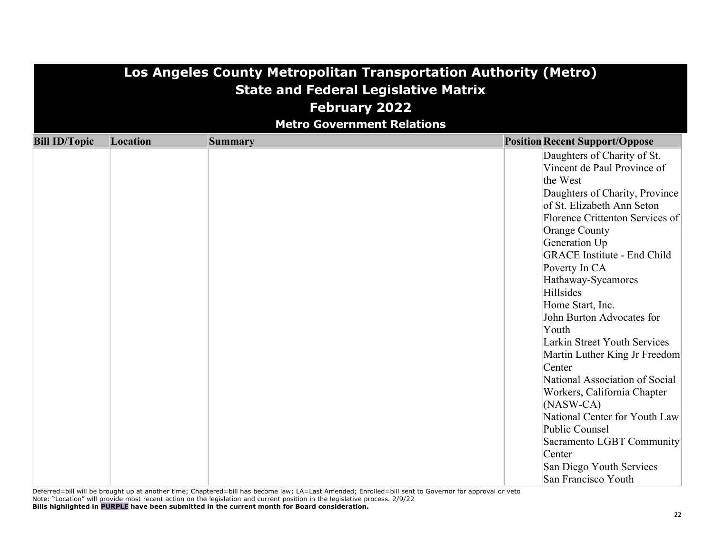| Los Angeles County Metropolitan Transportation Authority (Metro)<br><b>State and Federal Legislative Matrix</b><br><b>February 2022</b><br><b>Metro Government Relations</b> |                 |                |                                                                                                                                                                                                                                                                                                                                                                                                                                                                                                                                                                                                                                                                         |  |  |
|------------------------------------------------------------------------------------------------------------------------------------------------------------------------------|-----------------|----------------|-------------------------------------------------------------------------------------------------------------------------------------------------------------------------------------------------------------------------------------------------------------------------------------------------------------------------------------------------------------------------------------------------------------------------------------------------------------------------------------------------------------------------------------------------------------------------------------------------------------------------------------------------------------------------|--|--|
| <b>Bill ID/Topic</b>                                                                                                                                                         | <b>Location</b> | <b>Summary</b> | <b>Position Recent Support/Oppose</b>                                                                                                                                                                                                                                                                                                                                                                                                                                                                                                                                                                                                                                   |  |  |
|                                                                                                                                                                              |                 |                | Daughters of Charity of St.<br>Vincent de Paul Province of<br>the West<br>Daughters of Charity, Province<br>of St. Elizabeth Ann Seton<br>Florence Crittenton Services of<br>Orange County<br>Generation Up<br><b>GRACE</b> Institute - End Child<br>Poverty In CA<br>Hathaway-Sycamores<br>Hillsides<br>Home Start, Inc.<br>John Burton Advocates for<br>Youth<br>Larkin Street Youth Services<br>Martin Luther King Jr Freedom<br>Center<br>National Association of Social<br>Workers, California Chapter<br>$(NASW-CA)$<br>National Center for Youth Law<br>Public Counsel<br>Sacramento LGBT Community<br>Center<br>San Diego Youth Services<br>San Francisco Youth |  |  |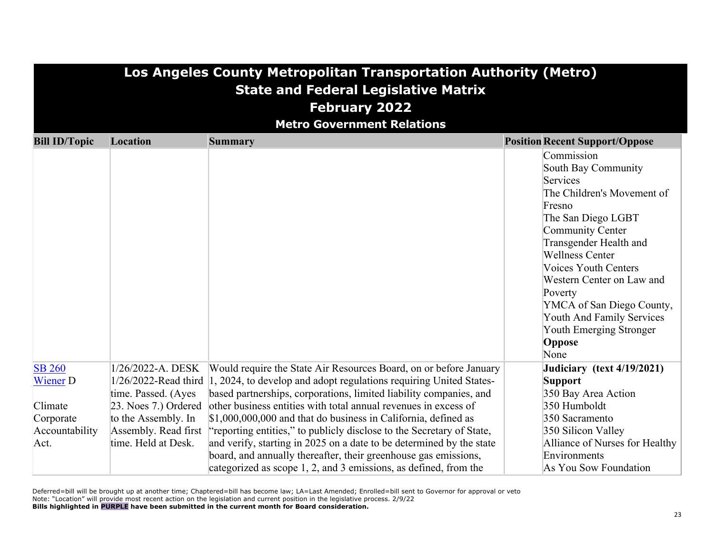|                      | Los Angeles County Metropolitan Transportation Authority (Metro)<br><b>State and Federal Legislative Matrix</b> |                                                                                                                                                                                                             |  |                                                                                                                                                                                                                                                                                                                                                                                               |  |  |
|----------------------|-----------------------------------------------------------------------------------------------------------------|-------------------------------------------------------------------------------------------------------------------------------------------------------------------------------------------------------------|--|-----------------------------------------------------------------------------------------------------------------------------------------------------------------------------------------------------------------------------------------------------------------------------------------------------------------------------------------------------------------------------------------------|--|--|
|                      |                                                                                                                 | <b>February 2022</b>                                                                                                                                                                                        |  |                                                                                                                                                                                                                                                                                                                                                                                               |  |  |
|                      |                                                                                                                 | <b>Metro Government Relations</b>                                                                                                                                                                           |  |                                                                                                                                                                                                                                                                                                                                                                                               |  |  |
| <b>Bill ID/Topic</b> | Location                                                                                                        | <b>Summary</b>                                                                                                                                                                                              |  | <b>Position Recent Support/Oppose</b>                                                                                                                                                                                                                                                                                                                                                         |  |  |
|                      |                                                                                                                 |                                                                                                                                                                                                             |  | Commission<br><b>South Bay Community</b><br><b>Services</b><br>The Children's Movement of<br>Fresno<br>The San Diego LGBT<br><b>Community Center</b><br>Transgender Health and<br><b>Wellness Center</b><br><b>Voices Youth Centers</b><br>Western Center on Law and<br>Poverty<br>YMCA of San Diego County,<br><b>Youth And Family Services</b><br>Youth Emerging Stronger<br>Oppose<br>None |  |  |
| <b>SB 260</b>        | 1/26/2022-A. DESK                                                                                               | Would require the State Air Resources Board, on or before January                                                                                                                                           |  | Judiciary (text 4/19/2021)                                                                                                                                                                                                                                                                                                                                                                    |  |  |
| <b>Wiener D</b>      | $1/26/2022$ -Read third                                                                                         | 1, 2024, to develop and adopt regulations requiring United States-                                                                                                                                          |  | <b>Support</b>                                                                                                                                                                                                                                                                                                                                                                                |  |  |
|                      | time. Passed. (Ayes                                                                                             | based partnerships, corporations, limited liability companies, and                                                                                                                                          |  | 350 Bay Area Action                                                                                                                                                                                                                                                                                                                                                                           |  |  |
| Climate              | 23. Noes 7.) Ordered                                                                                            | other business entities with total annual revenues in excess of                                                                                                                                             |  | 350 Humboldt                                                                                                                                                                                                                                                                                                                                                                                  |  |  |
| Corporate            | to the Assembly. In                                                                                             | $$1,000,000,000$ and that do business in California, defined as                                                                                                                                             |  | 350 Sacramento                                                                                                                                                                                                                                                                                                                                                                                |  |  |
| Accountability       | Assembly. Read first                                                                                            | "reporting entities," to publicly disclose to the Secretary of State,                                                                                                                                       |  | 350 Silicon Valley                                                                                                                                                                                                                                                                                                                                                                            |  |  |
| Act.                 | time. Held at Desk.                                                                                             | and verify, starting in 2025 on a date to be determined by the state<br>board, and annually thereafter, their greenhouse gas emissions,<br>categorized as scope 1, 2, and 3 emissions, as defined, from the |  | Alliance of Nurses for Healthy<br>Environments<br>As You Sow Foundation                                                                                                                                                                                                                                                                                                                       |  |  |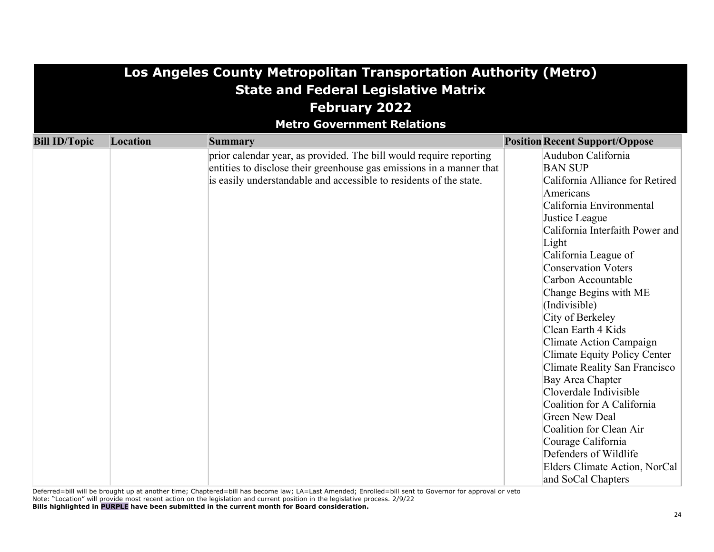|                      | Los Angeles County Metropolitan Transportation Authority (Metro) |                                                                                                                                                                                                                  |                                                                                                                                                                                                                                                                                                                                                                                                                                                                                                                                                                                                                                                                                  |  |  |  |  |
|----------------------|------------------------------------------------------------------|------------------------------------------------------------------------------------------------------------------------------------------------------------------------------------------------------------------|----------------------------------------------------------------------------------------------------------------------------------------------------------------------------------------------------------------------------------------------------------------------------------------------------------------------------------------------------------------------------------------------------------------------------------------------------------------------------------------------------------------------------------------------------------------------------------------------------------------------------------------------------------------------------------|--|--|--|--|
|                      | <b>State and Federal Legislative Matrix</b>                      |                                                                                                                                                                                                                  |                                                                                                                                                                                                                                                                                                                                                                                                                                                                                                                                                                                                                                                                                  |  |  |  |  |
|                      | <b>February 2022</b>                                             |                                                                                                                                                                                                                  |                                                                                                                                                                                                                                                                                                                                                                                                                                                                                                                                                                                                                                                                                  |  |  |  |  |
|                      |                                                                  | <b>Metro Government Relations</b>                                                                                                                                                                                |                                                                                                                                                                                                                                                                                                                                                                                                                                                                                                                                                                                                                                                                                  |  |  |  |  |
| <b>Bill ID/Topic</b> | Location                                                         | <b>Summary</b>                                                                                                                                                                                                   | <b>Position Recent Support/Oppose</b>                                                                                                                                                                                                                                                                                                                                                                                                                                                                                                                                                                                                                                            |  |  |  |  |
|                      |                                                                  | prior calendar year, as provided. The bill would require reporting<br>entities to disclose their greenhouse gas emissions in a manner that<br>is easily understandable and accessible to residents of the state. | Audubon California<br><b>BAN SUP</b><br>California Alliance for Retired<br>Americans<br>California Environmental<br>Justice League<br>California Interfaith Power and<br>Light<br>California League of<br><b>Conservation Voters</b><br>Carbon Accountable<br>Change Begins with ME<br>(Indivisible)<br>City of Berkeley<br>Clean Earth 4 Kids<br>Climate Action Campaign<br>Climate Equity Policy Center<br>Climate Reality San Francisco<br>Bay Area Chapter<br>Cloverdale Indivisible<br>Coalition for A California<br><b>Green New Deal</b><br>Coalition for Clean Air<br>Courage California<br>Defenders of Wildlife<br>Elders Climate Action, NorCal<br>and SoCal Chapters |  |  |  |  |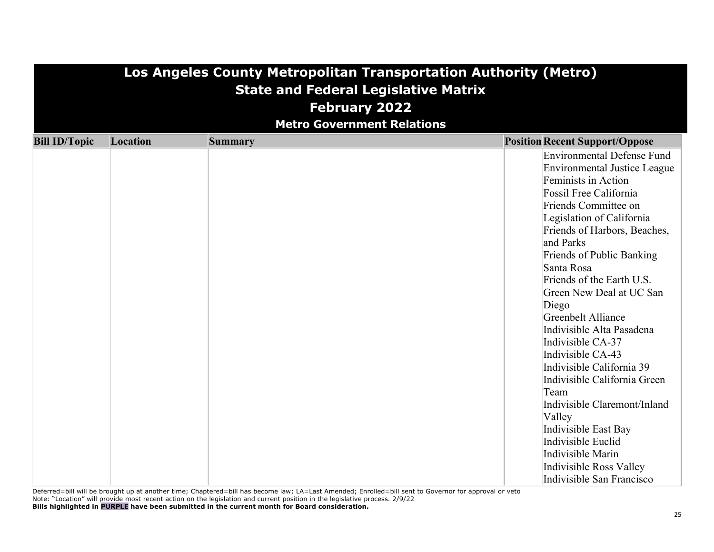| Los Angeles County Metropolitan Transportation Authority (Metro) |                                             |                                   |                                       |  |  |  |
|------------------------------------------------------------------|---------------------------------------------|-----------------------------------|---------------------------------------|--|--|--|
|                                                                  | <b>State and Federal Legislative Matrix</b> |                                   |                                       |  |  |  |
|                                                                  |                                             | <b>February 2022</b>              |                                       |  |  |  |
|                                                                  |                                             | <b>Metro Government Relations</b> |                                       |  |  |  |
| <b>Bill ID/Topic</b>                                             | Location                                    | <b>Summary</b>                    | <b>Position Recent Support/Oppose</b> |  |  |  |
|                                                                  |                                             |                                   | Environmental Defense Fund            |  |  |  |
|                                                                  |                                             |                                   | Environmental Justice League          |  |  |  |
|                                                                  |                                             |                                   | Feminists in Action                   |  |  |  |
|                                                                  |                                             |                                   | Fossil Free California                |  |  |  |
|                                                                  |                                             |                                   | Friends Committee on                  |  |  |  |
|                                                                  |                                             |                                   | Legislation of California             |  |  |  |
|                                                                  |                                             |                                   | Friends of Harbors, Beaches,          |  |  |  |
|                                                                  |                                             |                                   | and Parks                             |  |  |  |
|                                                                  |                                             |                                   | Friends of Public Banking             |  |  |  |
|                                                                  |                                             |                                   | Santa Rosa                            |  |  |  |
|                                                                  |                                             |                                   | Friends of the Earth U.S.             |  |  |  |
|                                                                  |                                             |                                   | Green New Deal at UC San              |  |  |  |
|                                                                  |                                             |                                   | Diego                                 |  |  |  |
|                                                                  |                                             |                                   | Greenbelt Alliance                    |  |  |  |
|                                                                  |                                             |                                   | Indivisible Alta Pasadena             |  |  |  |
|                                                                  |                                             |                                   | Indivisible CA-37                     |  |  |  |
|                                                                  |                                             |                                   | Indivisible CA-43                     |  |  |  |
|                                                                  |                                             |                                   | Indivisible California 39             |  |  |  |
|                                                                  |                                             |                                   | Indivisible California Green          |  |  |  |
|                                                                  |                                             |                                   | Team                                  |  |  |  |
|                                                                  |                                             |                                   | Indivisible Claremont/Inland          |  |  |  |
|                                                                  |                                             |                                   | Valley                                |  |  |  |
|                                                                  |                                             |                                   | Indivisible East Bay                  |  |  |  |
|                                                                  |                                             |                                   | Indivisible Euclid                    |  |  |  |
|                                                                  |                                             |                                   | Indivisible Marin                     |  |  |  |
|                                                                  |                                             |                                   | Indivisible Ross Valley               |  |  |  |
|                                                                  |                                             |                                   | Indivisible San Francisco             |  |  |  |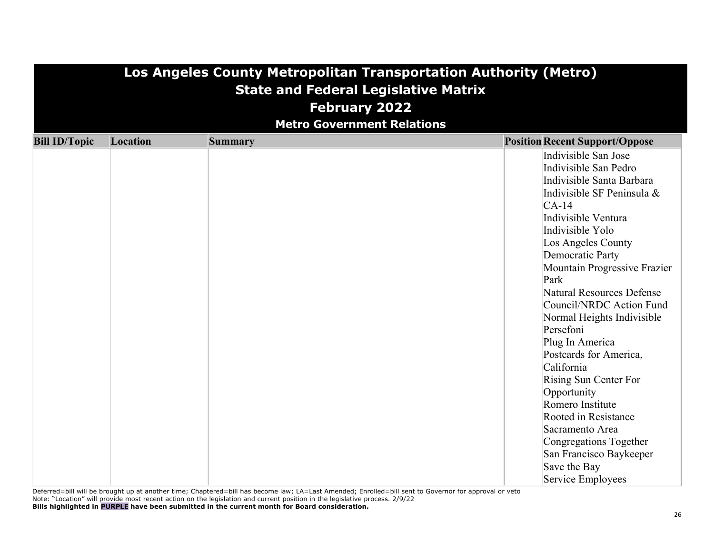| Los Angeles County Metropolitan Transportation Authority (Metro) |                                             |                                   |                                       |  |  |  |
|------------------------------------------------------------------|---------------------------------------------|-----------------------------------|---------------------------------------|--|--|--|
|                                                                  | <b>State and Federal Legislative Matrix</b> |                                   |                                       |  |  |  |
|                                                                  |                                             | <b>February 2022</b>              |                                       |  |  |  |
|                                                                  |                                             | <b>Metro Government Relations</b> |                                       |  |  |  |
| <b>Bill ID/Topic</b>                                             | Location                                    | <b>Summary</b>                    | <b>Position Recent Support/Oppose</b> |  |  |  |
|                                                                  |                                             |                                   | Indivisible San Jose                  |  |  |  |
|                                                                  |                                             |                                   | Indivisible San Pedro                 |  |  |  |
|                                                                  |                                             |                                   | Indivisible Santa Barbara             |  |  |  |
|                                                                  |                                             |                                   | Indivisible SF Peninsula &            |  |  |  |
|                                                                  |                                             |                                   | $CA-14$                               |  |  |  |
|                                                                  |                                             |                                   | Indivisible Ventura                   |  |  |  |
|                                                                  |                                             |                                   | Indivisible Yolo                      |  |  |  |
|                                                                  |                                             |                                   | Los Angeles County                    |  |  |  |
|                                                                  |                                             |                                   | Democratic Party                      |  |  |  |
|                                                                  |                                             |                                   | Mountain Progressive Frazier          |  |  |  |
|                                                                  |                                             |                                   | Park                                  |  |  |  |
|                                                                  |                                             |                                   | Natural Resources Defense             |  |  |  |
|                                                                  |                                             |                                   | Council/NRDC Action Fund              |  |  |  |
|                                                                  |                                             |                                   | Normal Heights Indivisible            |  |  |  |
|                                                                  |                                             |                                   | Persefoni                             |  |  |  |
|                                                                  |                                             |                                   | Plug In America                       |  |  |  |
|                                                                  |                                             |                                   | Postcards for America,                |  |  |  |
|                                                                  |                                             |                                   | California                            |  |  |  |
|                                                                  |                                             |                                   | Rising Sun Center For                 |  |  |  |
|                                                                  |                                             |                                   | Opportunity                           |  |  |  |
|                                                                  |                                             |                                   | Romero Institute                      |  |  |  |
|                                                                  |                                             |                                   | Rooted in Resistance                  |  |  |  |
|                                                                  |                                             |                                   | Sacramento Area                       |  |  |  |
|                                                                  |                                             |                                   | Congregations Together                |  |  |  |
|                                                                  |                                             |                                   | San Francisco Baykeeper               |  |  |  |
|                                                                  |                                             |                                   | Save the Bay                          |  |  |  |
|                                                                  |                                             |                                   | Service Employees                     |  |  |  |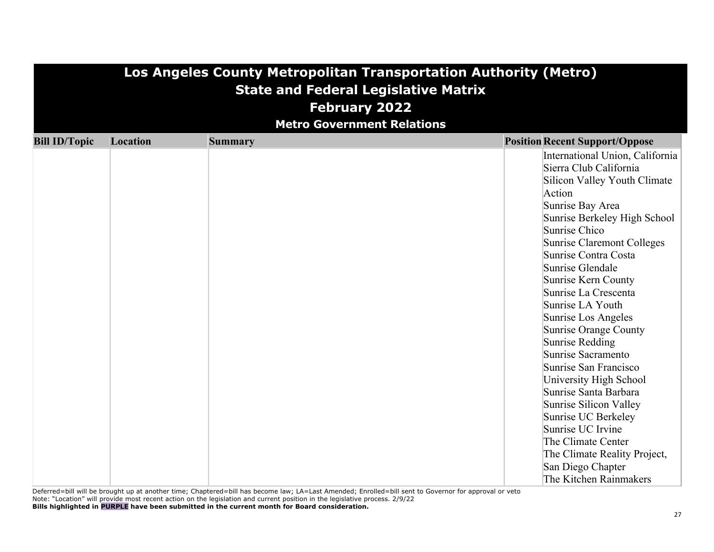|                      | Los Angeles County Metropolitan Transportation Authority (Metro) |                                             |                                          |  |  |
|----------------------|------------------------------------------------------------------|---------------------------------------------|------------------------------------------|--|--|
|                      |                                                                  | <b>State and Federal Legislative Matrix</b> |                                          |  |  |
|                      |                                                                  | <b>February 2022</b>                        |                                          |  |  |
|                      |                                                                  |                                             |                                          |  |  |
|                      |                                                                  | <b>Metro Government Relations</b>           |                                          |  |  |
| <b>Bill ID/Topic</b> | Location                                                         | <b>Summary</b>                              | <b>Position Recent Support/Oppose</b>    |  |  |
|                      |                                                                  |                                             | International Union, California          |  |  |
|                      |                                                                  |                                             | Sierra Club California                   |  |  |
|                      |                                                                  |                                             | Silicon Valley Youth Climate             |  |  |
|                      |                                                                  |                                             | Action                                   |  |  |
|                      |                                                                  |                                             | Sunrise Bay Area                         |  |  |
|                      |                                                                  |                                             | Sunrise Berkeley High School             |  |  |
|                      |                                                                  |                                             | Sunrise Chico                            |  |  |
|                      |                                                                  |                                             | Sunrise Claremont Colleges               |  |  |
|                      |                                                                  |                                             | Sunrise Contra Costa                     |  |  |
|                      |                                                                  |                                             | Sunrise Glendale                         |  |  |
|                      |                                                                  |                                             | Sunrise Kern County                      |  |  |
|                      |                                                                  |                                             | Sunrise La Crescenta                     |  |  |
|                      |                                                                  |                                             | Sunrise LA Youth                         |  |  |
|                      |                                                                  |                                             | Sunrise Los Angeles                      |  |  |
|                      |                                                                  |                                             | Sunrise Orange County<br>Sunrise Redding |  |  |
|                      |                                                                  |                                             | Sunrise Sacramento                       |  |  |
|                      |                                                                  |                                             | Sunrise San Francisco                    |  |  |
|                      |                                                                  |                                             | University High School                   |  |  |
|                      |                                                                  |                                             | Sunrise Santa Barbara                    |  |  |
|                      |                                                                  |                                             | Sunrise Silicon Valley                   |  |  |
|                      |                                                                  |                                             | Sunrise UC Berkeley                      |  |  |
|                      |                                                                  |                                             | Sunrise UC Irvine                        |  |  |
|                      |                                                                  |                                             | The Climate Center                       |  |  |
|                      |                                                                  |                                             | The Climate Reality Project,             |  |  |
|                      |                                                                  |                                             | San Diego Chapter                        |  |  |
|                      |                                                                  |                                             | The Kitchen Rainmakers                   |  |  |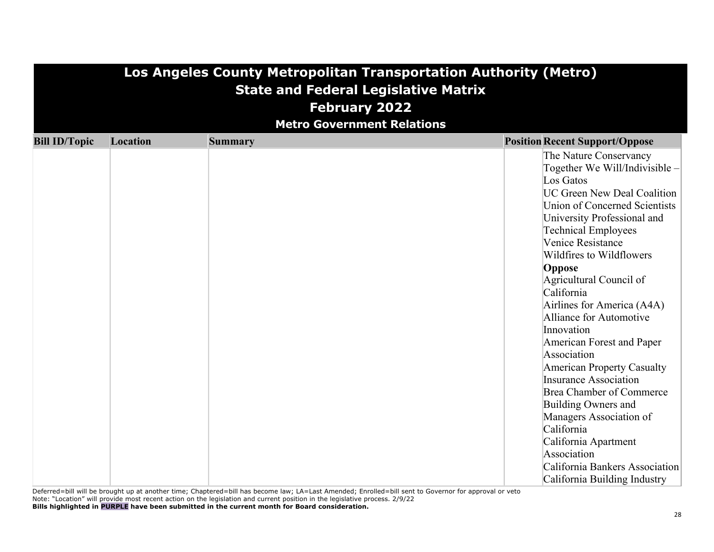|                      | Los Angeles County Metropolitan Transportation Authority (Metro) |                                             |                                                                     |  |  |
|----------------------|------------------------------------------------------------------|---------------------------------------------|---------------------------------------------------------------------|--|--|
|                      |                                                                  | <b>State and Federal Legislative Matrix</b> |                                                                     |  |  |
|                      |                                                                  | <b>February 2022</b>                        |                                                                     |  |  |
|                      |                                                                  | <b>Metro Government Relations</b>           |                                                                     |  |  |
|                      |                                                                  |                                             |                                                                     |  |  |
| <b>Bill ID/Topic</b> | Location                                                         | <b>Summary</b>                              | <b>Position Recent Support/Oppose</b>                               |  |  |
|                      |                                                                  |                                             | The Nature Conservancy                                              |  |  |
|                      |                                                                  |                                             | Together We Will/Indivisible -                                      |  |  |
|                      |                                                                  |                                             | Los Gatos                                                           |  |  |
|                      |                                                                  |                                             | <b>UC Green New Deal Coalition</b><br>Union of Concerned Scientists |  |  |
|                      |                                                                  |                                             | University Professional and                                         |  |  |
|                      |                                                                  |                                             | Technical Employees                                                 |  |  |
|                      |                                                                  |                                             | Venice Resistance                                                   |  |  |
|                      |                                                                  |                                             | Wildfires to Wildflowers                                            |  |  |
|                      |                                                                  |                                             | Oppose                                                              |  |  |
|                      |                                                                  |                                             | Agricultural Council of                                             |  |  |
|                      |                                                                  |                                             | California                                                          |  |  |
|                      |                                                                  |                                             | Airlines for America (A4A)                                          |  |  |
|                      |                                                                  |                                             | Alliance for Automotive                                             |  |  |
|                      |                                                                  |                                             | Innovation                                                          |  |  |
|                      |                                                                  |                                             | American Forest and Paper                                           |  |  |
|                      |                                                                  |                                             | Association                                                         |  |  |
|                      |                                                                  |                                             | American Property Casualty                                          |  |  |
|                      |                                                                  |                                             | Insurance Association                                               |  |  |
|                      |                                                                  |                                             | Brea Chamber of Commerce                                            |  |  |
|                      |                                                                  |                                             | Building Owners and                                                 |  |  |
|                      |                                                                  |                                             | Managers Association of                                             |  |  |
|                      |                                                                  |                                             | California                                                          |  |  |
|                      |                                                                  |                                             | California Apartment                                                |  |  |
|                      |                                                                  |                                             | Association                                                         |  |  |
|                      |                                                                  |                                             | California Bankers Association                                      |  |  |
|                      |                                                                  |                                             | California Building Industry                                        |  |  |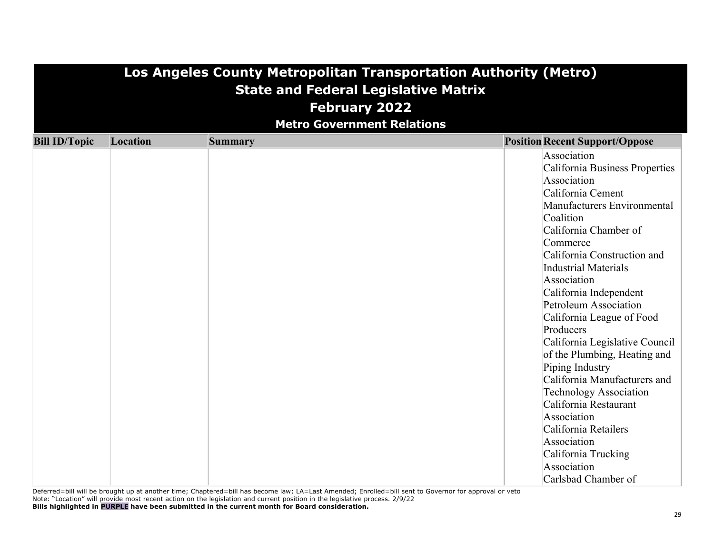|                      | Los Angeles County Metropolitan Transportation Authority (Metro) |                                             |                                                                                                                                                                                                                                                                                                                                                                                                                                                                                                                                                                                                                                                       |  |  |  |
|----------------------|------------------------------------------------------------------|---------------------------------------------|-------------------------------------------------------------------------------------------------------------------------------------------------------------------------------------------------------------------------------------------------------------------------------------------------------------------------------------------------------------------------------------------------------------------------------------------------------------------------------------------------------------------------------------------------------------------------------------------------------------------------------------------------------|--|--|--|
|                      |                                                                  | <b>State and Federal Legislative Matrix</b> |                                                                                                                                                                                                                                                                                                                                                                                                                                                                                                                                                                                                                                                       |  |  |  |
|                      |                                                                  | <b>February 2022</b>                        |                                                                                                                                                                                                                                                                                                                                                                                                                                                                                                                                                                                                                                                       |  |  |  |
|                      |                                                                  | <b>Metro Government Relations</b>           |                                                                                                                                                                                                                                                                                                                                                                                                                                                                                                                                                                                                                                                       |  |  |  |
| <b>Bill ID/Topic</b> | Location                                                         | <b>Summary</b>                              | <b>Position Recent Support/Oppose</b>                                                                                                                                                                                                                                                                                                                                                                                                                                                                                                                                                                                                                 |  |  |  |
|                      |                                                                  |                                             | Association<br>California Business Properties<br>Association<br>California Cement<br>Manufacturers Environmental<br>Coalition<br>California Chamber of<br>Commerce<br>California Construction and<br><b>Industrial Materials</b><br>Association<br>California Independent<br><b>Petroleum Association</b><br>California League of Food<br>Producers<br>California Legislative Council<br>of the Plumbing, Heating and<br>Piping Industry<br>California Manufacturers and<br><b>Technology Association</b><br>California Restaurant<br>Association<br>California Retailers<br>Association<br>California Trucking<br>Association<br>Carlsbad Chamber of |  |  |  |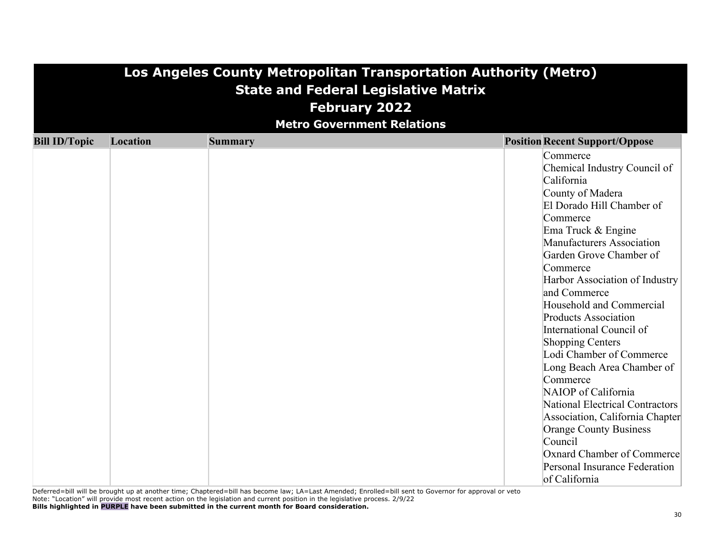| Los Angeles County Metropolitan Transportation Authority (Metro) |          |                                             |                                                                                                                                                                                                                                                                                                                                                                                                                                                                                                                                                                                                                                                                                  |  |  |
|------------------------------------------------------------------|----------|---------------------------------------------|----------------------------------------------------------------------------------------------------------------------------------------------------------------------------------------------------------------------------------------------------------------------------------------------------------------------------------------------------------------------------------------------------------------------------------------------------------------------------------------------------------------------------------------------------------------------------------------------------------------------------------------------------------------------------------|--|--|
|                                                                  |          | <b>State and Federal Legislative Matrix</b> |                                                                                                                                                                                                                                                                                                                                                                                                                                                                                                                                                                                                                                                                                  |  |  |
|                                                                  |          | <b>February 2022</b>                        |                                                                                                                                                                                                                                                                                                                                                                                                                                                                                                                                                                                                                                                                                  |  |  |
|                                                                  |          | <b>Metro Government Relations</b>           |                                                                                                                                                                                                                                                                                                                                                                                                                                                                                                                                                                                                                                                                                  |  |  |
| <b>Bill ID/Topic</b>                                             | Location | <b>Summary</b>                              | <b>Position Recent Support/Oppose</b>                                                                                                                                                                                                                                                                                                                                                                                                                                                                                                                                                                                                                                            |  |  |
|                                                                  |          |                                             | Commerce<br>Chemical Industry Council of<br>California<br>County of Madera<br>El Dorado Hill Chamber of<br>Commerce<br>Ema Truck & Engine<br>Manufacturers Association<br>Garden Grove Chamber of<br>Commerce<br>Harbor Association of Industry<br>and Commerce<br>Household and Commercial<br><b>Products Association</b><br>International Council of<br>Shopping Centers<br>Lodi Chamber of Commerce<br>Long Beach Area Chamber of<br>Commerce<br>NAIOP of California<br><b>National Electrical Contractors</b><br>Association, California Chapter<br><b>Orange County Business</b><br>Council<br>Oxnard Chamber of Commerce<br>Personal Insurance Federation<br>of California |  |  |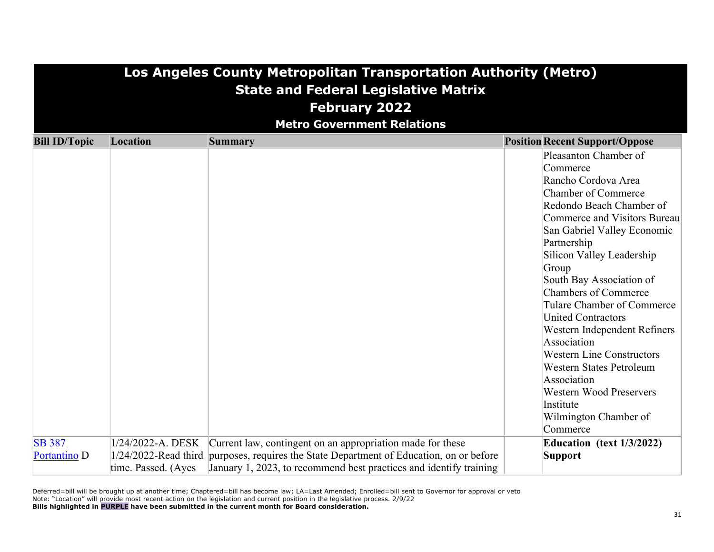| Los Angeles County Metropolitan Transportation Authority (Metro)<br><b>State and Federal Legislative Matrix</b><br><b>February 2022</b><br><b>Metro Government Relations</b> |                     |                                                                                         |                                                                                                                                                                                                                                                                                                                                                                                                                                                                                                                                                                                |  |  |  |
|------------------------------------------------------------------------------------------------------------------------------------------------------------------------------|---------------------|-----------------------------------------------------------------------------------------|--------------------------------------------------------------------------------------------------------------------------------------------------------------------------------------------------------------------------------------------------------------------------------------------------------------------------------------------------------------------------------------------------------------------------------------------------------------------------------------------------------------------------------------------------------------------------------|--|--|--|
| <b>Bill ID/Topic</b>                                                                                                                                                         | Location            | <b>Summary</b>                                                                          | <b>Position Recent Support/Oppose</b>                                                                                                                                                                                                                                                                                                                                                                                                                                                                                                                                          |  |  |  |
|                                                                                                                                                                              |                     |                                                                                         | Pleasanton Chamber of<br>Commerce<br>Rancho Cordova Area<br><b>Chamber of Commerce</b><br>Redondo Beach Chamber of<br>Commerce and Visitors Bureau<br>San Gabriel Valley Economic<br>Partnership<br>Silicon Valley Leadership<br>Group<br>South Bay Association of<br><b>Chambers of Commerce</b><br>Tulare Chamber of Commerce<br><b>United Contractors</b><br>Western Independent Refiners<br>Association<br><b>Western Line Constructors</b><br>Western States Petroleum<br>Association<br><b>Western Wood Preservers</b><br>Institute<br>Wilmington Chamber of<br>Commerce |  |  |  |
| <b>SB 387</b>                                                                                                                                                                | 1/24/2022-A. DESK   | Current law, contingent on an appropriation made for these                              | Education (text $1/3/2022$ )                                                                                                                                                                                                                                                                                                                                                                                                                                                                                                                                                   |  |  |  |
| Portantino D                                                                                                                                                                 |                     | 1/24/2022-Read third purposes, requires the State Department of Education, on or before | <b>Support</b>                                                                                                                                                                                                                                                                                                                                                                                                                                                                                                                                                                 |  |  |  |
|                                                                                                                                                                              | time. Passed. (Ayes | January 1, 2023, to recommend best practices and identify training                      |                                                                                                                                                                                                                                                                                                                                                                                                                                                                                                                                                                                |  |  |  |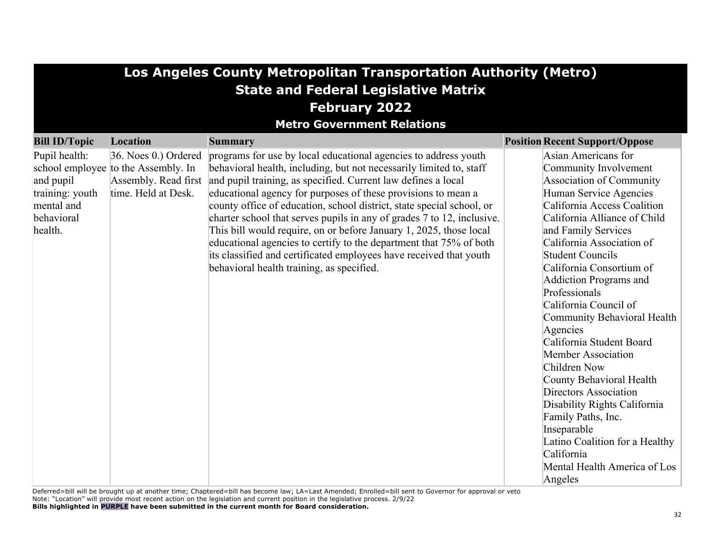| Los Angeles County Metropolitan Transportation Authority (Metro)                     |                                                                                                            |                                                                                                                                                                                                                                                                                                                                                                                                                                                                                                                                                                                                                                                                                            |                                                                                                                                                                                                                                                                                                                                                                                                                                                                                                                                                                                                                                                                                    |  |  |  |  |
|--------------------------------------------------------------------------------------|------------------------------------------------------------------------------------------------------------|--------------------------------------------------------------------------------------------------------------------------------------------------------------------------------------------------------------------------------------------------------------------------------------------------------------------------------------------------------------------------------------------------------------------------------------------------------------------------------------------------------------------------------------------------------------------------------------------------------------------------------------------------------------------------------------------|------------------------------------------------------------------------------------------------------------------------------------------------------------------------------------------------------------------------------------------------------------------------------------------------------------------------------------------------------------------------------------------------------------------------------------------------------------------------------------------------------------------------------------------------------------------------------------------------------------------------------------------------------------------------------------|--|--|--|--|
| <b>State and Federal Legislative Matrix</b>                                          |                                                                                                            |                                                                                                                                                                                                                                                                                                                                                                                                                                                                                                                                                                                                                                                                                            |                                                                                                                                                                                                                                                                                                                                                                                                                                                                                                                                                                                                                                                                                    |  |  |  |  |
| <b>February 2022</b>                                                                 |                                                                                                            |                                                                                                                                                                                                                                                                                                                                                                                                                                                                                                                                                                                                                                                                                            |                                                                                                                                                                                                                                                                                                                                                                                                                                                                                                                                                                                                                                                                                    |  |  |  |  |
|                                                                                      | <b>Metro Government Relations</b>                                                                          |                                                                                                                                                                                                                                                                                                                                                                                                                                                                                                                                                                                                                                                                                            |                                                                                                                                                                                                                                                                                                                                                                                                                                                                                                                                                                                                                                                                                    |  |  |  |  |
| <b>Bill ID/Topic</b>                                                                 | Location                                                                                                   | <b>Summary</b>                                                                                                                                                                                                                                                                                                                                                                                                                                                                                                                                                                                                                                                                             | <b>Position Recent Support/Oppose</b>                                                                                                                                                                                                                                                                                                                                                                                                                                                                                                                                                                                                                                              |  |  |  |  |
| Pupil health:<br>and pupil<br>training: youth<br>mental and<br>behavioral<br>health. | 36. Noes 0.) Ordered<br>school employee to the Assembly. In<br>Assembly. Read first<br>time. Held at Desk. | programs for use by local educational agencies to address youth<br>behavioral health, including, but not necessarily limited to, staff<br>and pupil training, as specified. Current law defines a local<br>educational agency for purposes of these provisions to mean a<br>county office of education, school district, state special school, or<br>charter school that serves pupils in any of grades 7 to 12, inclusive.<br>This bill would require, on or before January 1, 2025, those local<br>educational agencies to certify to the department that 75% of both<br>its classified and certificated employees have received that youth<br>behavioral health training, as specified. | Asian Americans for<br>Community Involvement<br>Association of Community<br>Human Service Agencies<br>California Access Coalition<br>California Alliance of Child<br>and Family Services<br>California Association of<br><b>Student Councils</b><br>California Consortium of<br>Addiction Programs and<br>Professionals<br>California Council of<br>Community Behavioral Health<br>Agencies<br>California Student Board<br>Member Association<br>Children Now<br>County Behavioral Health<br>Directors Association<br>Disability Rights California<br>Family Paths, Inc.<br>Inseparable<br>Latino Coalition for a Healthy<br>California<br>Mental Health America of Los<br>Angeles |  |  |  |  |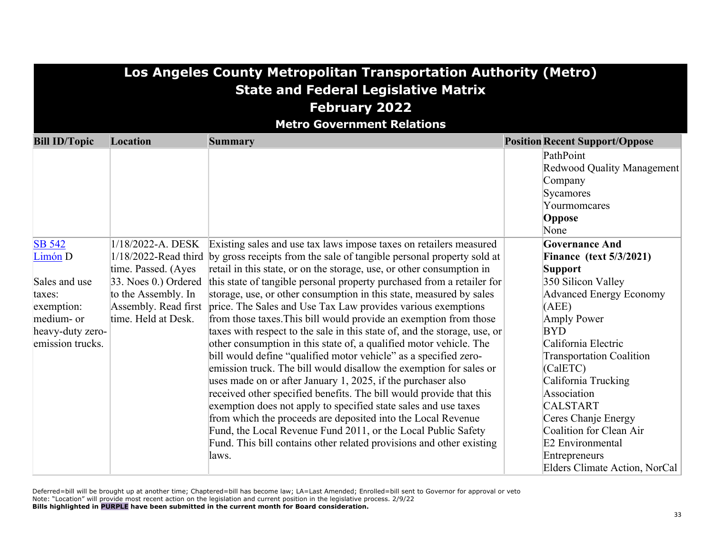### **Los Angeles County Metropolitan Transportation Authority (Metro) State and Federal Legislative Matrix February 2022**

**Metro Government Relations**

| <b>Bill ID/Topic</b> | <b>Location</b>        | <b>Summary</b>                                                                             | <b>Position Recent Support/Oppose</b> |
|----------------------|------------------------|--------------------------------------------------------------------------------------------|---------------------------------------|
|                      |                        |                                                                                            | PathPoint                             |
|                      |                        |                                                                                            | Redwood Quality Management            |
|                      |                        |                                                                                            | Company                               |
|                      |                        |                                                                                            | Sycamores                             |
|                      |                        |                                                                                            | Yourmomcares                          |
|                      |                        |                                                                                            | Oppose                                |
|                      |                        |                                                                                            | None                                  |
| <b>SB 542</b>        | 1/18/2022-A. DESK      | Existing sales and use tax laws impose taxes on retailers measured                         | <b>Governance And</b>                 |
| $Limon$ D            |                        | 1/18/2022-Read third by gross receipts from the sale of tangible personal property sold at | <b>Finance (text 5/3/2021)</b>        |
|                      | time. Passed. (Ayes    | retail in this state, or on the storage, use, or other consumption in                      | Support                               |
| Sales and use        | $33.$ Noes 0.) Ordered | this state of tangible personal property purchased from a retailer for                     | 350 Silicon Valley                    |
| taxes:               | to the Assembly. In    | storage, use, or other consumption in this state, measured by sales                        | <b>Advanced Energy Economy</b>        |
| exemption:           | Assembly. Read first   | price. The Sales and Use Tax Law provides various exemptions                               | (AEE)                                 |
| medium- or           | time. Held at Desk.    | from those taxes. This bill would provide an exemption from those                          | Amply Power                           |
| heavy-duty zero-     |                        | taxes with respect to the sale in this state of, and the storage, use, or                  | <b>BYD</b>                            |
| emission trucks.     |                        | other consumption in this state of, a qualified motor vehicle. The                         | California Electric                   |
|                      |                        | bill would define "qualified motor vehicle" as a specified zero-                           | <b>Transportation Coalition</b>       |
|                      |                        | emission truck. The bill would disallow the exemption for sales or                         | (CalETC)                              |
|                      |                        | uses made on or after January 1, 2025, if the purchaser also                               | California Trucking                   |
|                      |                        | received other specified benefits. The bill would provide that this                        | Association                           |
|                      |                        | exemption does not apply to specified state sales and use taxes                            | <b>CALSTART</b>                       |
|                      |                        | from which the proceeds are deposited into the Local Revenue                               | Ceres Chanje Energy                   |
|                      |                        | Fund, the Local Revenue Fund 2011, or the Local Public Safety                              | Coalition for Clean Air               |
|                      |                        | Fund. This bill contains other related provisions and other existing                       | E2 Environmental                      |
|                      |                        | laws.                                                                                      | Entrepreneurs                         |
|                      |                        |                                                                                            | Elders Climate Action, NorCal         |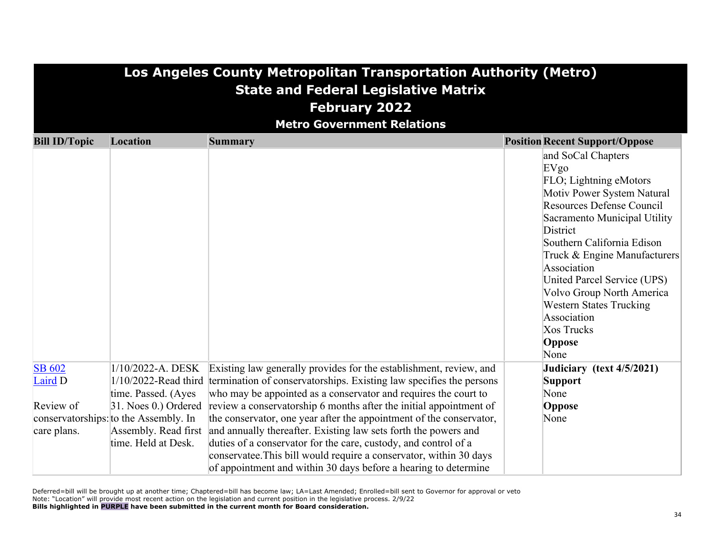| Los Angeles County Metropolitan Transportation Authority (Metro)<br><b>State and Federal Legislative Matrix</b><br><b>February 2022</b><br><b>Metro Government Relations</b> |                                                                     |                                                                                                                                                                                                              |                                                                                                                                                                                                                                                                                                                                                                                       |  |  |
|------------------------------------------------------------------------------------------------------------------------------------------------------------------------------|---------------------------------------------------------------------|--------------------------------------------------------------------------------------------------------------------------------------------------------------------------------------------------------------|---------------------------------------------------------------------------------------------------------------------------------------------------------------------------------------------------------------------------------------------------------------------------------------------------------------------------------------------------------------------------------------|--|--|
| <b>Bill ID/Topic</b>                                                                                                                                                         | Location                                                            | <b>Summary</b>                                                                                                                                                                                               | <b>Position Recent Support/Oppose</b>                                                                                                                                                                                                                                                                                                                                                 |  |  |
|                                                                                                                                                                              |                                                                     |                                                                                                                                                                                                              | and SoCal Chapters<br>EVgo<br>FLO; Lightning eMotors<br>Motiv Power System Natural<br>Resources Defense Council<br>Sacramento Municipal Utility<br>District<br>Southern California Edison<br>Truck & Engine Manufacturers<br>Association<br>United Parcel Service (UPS)<br>Volvo Group North America<br><b>Western States Trucking</b><br>Association<br>Xos Trucks<br>Oppose<br>None |  |  |
| <b>SB 602</b><br>Laird D                                                                                                                                                     | $1/10/2022$ -A. DESK<br>1/10/2022-Read third<br>time. Passed. (Ayes | Existing law generally provides for the establishment, review, and<br>termination of conservatorships. Existing law specifies the persons<br>who may be appointed as a conservator and requires the court to | Judiciary (text 4/5/2021)<br><b>Support</b><br>None                                                                                                                                                                                                                                                                                                                                   |  |  |
| Review of                                                                                                                                                                    | $ 31.$ Noes 0.) Ordered                                             | review a conservatorship 6 months after the initial appointment of                                                                                                                                           | Oppose                                                                                                                                                                                                                                                                                                                                                                                |  |  |
|                                                                                                                                                                              | conservatorships: to the Assembly. In                               | the conservator, one year after the appointment of the conservator,                                                                                                                                          | None                                                                                                                                                                                                                                                                                                                                                                                  |  |  |
| care plans.                                                                                                                                                                  | Assembly. Read first                                                | and annually thereafter. Existing law sets forth the powers and                                                                                                                                              |                                                                                                                                                                                                                                                                                                                                                                                       |  |  |
|                                                                                                                                                                              | time. Held at Desk.                                                 | duties of a conservator for the care, custody, and control of a<br>conservatee. This bill would require a conservator, within 30 days<br>of appointment and within 30 days before a hearing to determine     |                                                                                                                                                                                                                                                                                                                                                                                       |  |  |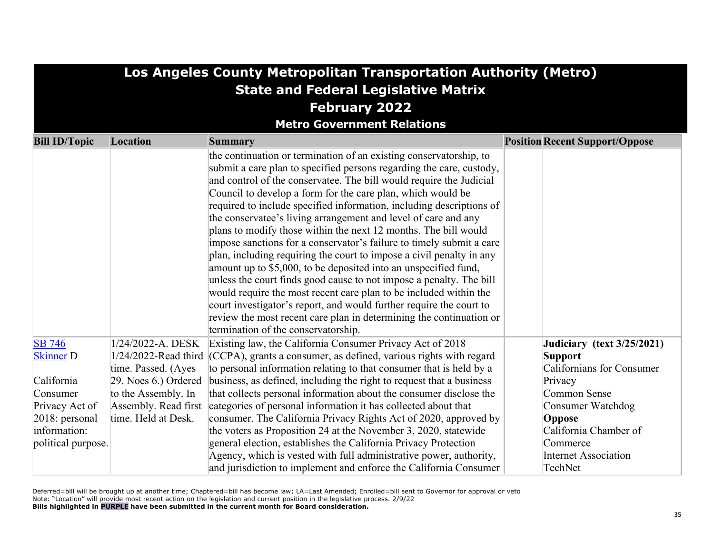| Los Angeles County Metropolitan Transportation Authority (Metro) |                                             |                                                                                                                                                                                                                                                                                                                                                                                                                                                                                                                                                                                                                                                                                                                                                                                                                                                                                                                                                                                                                                                   |                                             |  |  |  |
|------------------------------------------------------------------|---------------------------------------------|---------------------------------------------------------------------------------------------------------------------------------------------------------------------------------------------------------------------------------------------------------------------------------------------------------------------------------------------------------------------------------------------------------------------------------------------------------------------------------------------------------------------------------------------------------------------------------------------------------------------------------------------------------------------------------------------------------------------------------------------------------------------------------------------------------------------------------------------------------------------------------------------------------------------------------------------------------------------------------------------------------------------------------------------------|---------------------------------------------|--|--|--|
|                                                                  | <b>State and Federal Legislative Matrix</b> |                                                                                                                                                                                                                                                                                                                                                                                                                                                                                                                                                                                                                                                                                                                                                                                                                                                                                                                                                                                                                                                   |                                             |  |  |  |
|                                                                  |                                             | <b>February 2022</b>                                                                                                                                                                                                                                                                                                                                                                                                                                                                                                                                                                                                                                                                                                                                                                                                                                                                                                                                                                                                                              |                                             |  |  |  |
|                                                                  |                                             | <b>Metro Government Relations</b>                                                                                                                                                                                                                                                                                                                                                                                                                                                                                                                                                                                                                                                                                                                                                                                                                                                                                                                                                                                                                 |                                             |  |  |  |
| <b>Bill ID/Topic</b>                                             | Location                                    | <b>Summary</b>                                                                                                                                                                                                                                                                                                                                                                                                                                                                                                                                                                                                                                                                                                                                                                                                                                                                                                                                                                                                                                    | <b>Position Recent Support/Oppose</b>       |  |  |  |
|                                                                  |                                             | the continuation or termination of an existing conservatorship, to<br>submit a care plan to specified persons regarding the care, custody,<br>and control of the conservatee. The bill would require the Judicial<br>Council to develop a form for the care plan, which would be<br>required to include specified information, including descriptions of<br>the conservatee's living arrangement and level of care and any<br>plans to modify those within the next 12 months. The bill would<br>impose sanctions for a conservator's failure to timely submit a care<br>plan, including requiring the court to impose a civil penalty in any<br>amount up to \$5,000, to be deposited into an unspecified fund,<br>unless the court finds good cause to not impose a penalty. The bill<br>would require the most recent care plan to be included within the<br>court investigator's report, and would further require the court to<br>review the most recent care plan in determining the continuation or<br>termination of the conservatorship. |                                             |  |  |  |
| <b>SB</b> 746<br><b>Skinner D</b>                                | 1/24/2022-A. DESK<br>1/24/2022-Read third   | Existing law, the California Consumer Privacy Act of 2018<br>$ CCPA $ , grants a consumer, as defined, various rights with regard                                                                                                                                                                                                                                                                                                                                                                                                                                                                                                                                                                                                                                                                                                                                                                                                                                                                                                                 | Judiciary (text $3/25/2021$ )               |  |  |  |
|                                                                  | time. Passed. (Ayes                         | to personal information relating to that consumer that is held by a                                                                                                                                                                                                                                                                                                                                                                                                                                                                                                                                                                                                                                                                                                                                                                                                                                                                                                                                                                               | <b>Support</b><br>Californians for Consumer |  |  |  |
| California                                                       | 29. Noes 6.) Ordered                        | business, as defined, including the right to request that a business                                                                                                                                                                                                                                                                                                                                                                                                                                                                                                                                                                                                                                                                                                                                                                                                                                                                                                                                                                              | Privacy                                     |  |  |  |
| Consumer                                                         | to the Assembly. In                         | that collects personal information about the consumer disclose the                                                                                                                                                                                                                                                                                                                                                                                                                                                                                                                                                                                                                                                                                                                                                                                                                                                                                                                                                                                | Common Sense                                |  |  |  |
| Privacy Act of                                                   | Assembly. Read first                        | categories of personal information it has collected about that                                                                                                                                                                                                                                                                                                                                                                                                                                                                                                                                                                                                                                                                                                                                                                                                                                                                                                                                                                                    | Consumer Watchdog                           |  |  |  |
| 2018: personal                                                   | time. Held at Desk.                         | consumer. The California Privacy Rights Act of 2020, approved by                                                                                                                                                                                                                                                                                                                                                                                                                                                                                                                                                                                                                                                                                                                                                                                                                                                                                                                                                                                  | Oppose                                      |  |  |  |
| information:                                                     |                                             | the voters as Proposition 24 at the November 3, 2020, statewide                                                                                                                                                                                                                                                                                                                                                                                                                                                                                                                                                                                                                                                                                                                                                                                                                                                                                                                                                                                   | California Chamber of                       |  |  |  |
| political purpose.                                               |                                             | general election, establishes the California Privacy Protection                                                                                                                                                                                                                                                                                                                                                                                                                                                                                                                                                                                                                                                                                                                                                                                                                                                                                                                                                                                   | Commerce                                    |  |  |  |
|                                                                  |                                             | Agency, which is vested with full administrative power, authority,                                                                                                                                                                                                                                                                                                                                                                                                                                                                                                                                                                                                                                                                                                                                                                                                                                                                                                                                                                                | <b>Internet Association</b>                 |  |  |  |
|                                                                  |                                             | and jurisdiction to implement and enforce the California Consumer                                                                                                                                                                                                                                                                                                                                                                                                                                                                                                                                                                                                                                                                                                                                                                                                                                                                                                                                                                                 | TechNet                                     |  |  |  |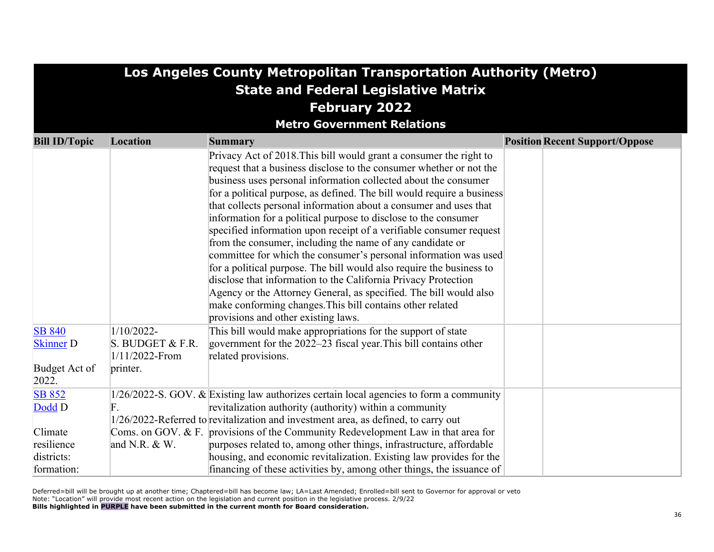|                                             | Los Angeles County Metropolitan Transportation Authority (Metro) |                                                                                                                                                                                                                                                                                                                                                                                                                                                                                                                                                                                                                                                                                                                                                                                                                                                                                                                                                           |                                       |  |  |  |  |
|---------------------------------------------|------------------------------------------------------------------|-----------------------------------------------------------------------------------------------------------------------------------------------------------------------------------------------------------------------------------------------------------------------------------------------------------------------------------------------------------------------------------------------------------------------------------------------------------------------------------------------------------------------------------------------------------------------------------------------------------------------------------------------------------------------------------------------------------------------------------------------------------------------------------------------------------------------------------------------------------------------------------------------------------------------------------------------------------|---------------------------------------|--|--|--|--|
| <b>State and Federal Legislative Matrix</b> |                                                                  |                                                                                                                                                                                                                                                                                                                                                                                                                                                                                                                                                                                                                                                                                                                                                                                                                                                                                                                                                           |                                       |  |  |  |  |
|                                             | <b>February 2022</b>                                             |                                                                                                                                                                                                                                                                                                                                                                                                                                                                                                                                                                                                                                                                                                                                                                                                                                                                                                                                                           |                                       |  |  |  |  |
|                                             |                                                                  | <b>Metro Government Relations</b>                                                                                                                                                                                                                                                                                                                                                                                                                                                                                                                                                                                                                                                                                                                                                                                                                                                                                                                         |                                       |  |  |  |  |
| <b>Bill ID/Topic</b>                        | Location                                                         | <b>Summary</b>                                                                                                                                                                                                                                                                                                                                                                                                                                                                                                                                                                                                                                                                                                                                                                                                                                                                                                                                            | <b>Position Recent Support/Oppose</b> |  |  |  |  |
|                                             |                                                                  | Privacy Act of 2018. This bill would grant a consumer the right to<br>request that a business disclose to the consumer whether or not the<br>business uses personal information collected about the consumer<br>for a political purpose, as defined. The bill would require a business<br>that collects personal information about a consumer and uses that<br>information for a political purpose to disclose to the consumer<br>specified information upon receipt of a verifiable consumer request<br>from the consumer, including the name of any candidate or<br>committee for which the consumer's personal information was used<br>for a political purpose. The bill would also require the business to<br>disclose that information to the California Privacy Protection<br>Agency or the Attorney General, as specified. The bill would also<br>make conforming changes. This bill contains other related<br>provisions and other existing laws. |                                       |  |  |  |  |
| <b>SB 840</b><br><b>Skinner</b> D           | $1/10/2022$ -<br>S. BUDGET & F.R.<br>$1/11/2022$ -From           | This bill would make appropriations for the support of state<br>government for the $2022-23$ fiscal year. This bill contains other<br>related provisions.                                                                                                                                                                                                                                                                                                                                                                                                                                                                                                                                                                                                                                                                                                                                                                                                 |                                       |  |  |  |  |
| Budget Act of<br>2022.                      | printer.                                                         |                                                                                                                                                                                                                                                                                                                                                                                                                                                                                                                                                                                                                                                                                                                                                                                                                                                                                                                                                           |                                       |  |  |  |  |
| <b>SB 852</b><br>Dodd D                     | F.                                                               | $1/26/2022$ -S. GOV. & Existing law authorizes certain local agencies to form a community<br>revitalization authority (authority) within a community<br>1/26/2022-Referred to revitalization and investment area, as defined, to carry out                                                                                                                                                                                                                                                                                                                                                                                                                                                                                                                                                                                                                                                                                                                |                                       |  |  |  |  |
| Climate<br>resilience                       | and N.R. & W.                                                    | Coms. on GOV. & F. provisions of the Community Redevelopment Law in that area for<br>purposes related to, among other things, infrastructure, affordable                                                                                                                                                                                                                                                                                                                                                                                                                                                                                                                                                                                                                                                                                                                                                                                                  |                                       |  |  |  |  |
| districts:<br>formation:                    |                                                                  | housing, and economic revitalization. Existing law provides for the<br>financing of these activities by, among other things, the issuance of                                                                                                                                                                                                                                                                                                                                                                                                                                                                                                                                                                                                                                                                                                                                                                                                              |                                       |  |  |  |  |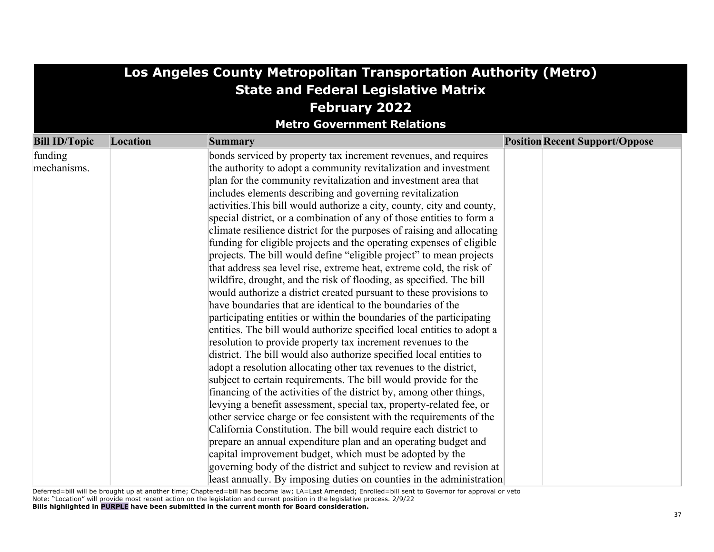| Los Angeles County Metropolitan Transportation Authority (Metro) |                                   |                                                                                                                                     |                                       |  |  |  |
|------------------------------------------------------------------|-----------------------------------|-------------------------------------------------------------------------------------------------------------------------------------|---------------------------------------|--|--|--|
| <b>State and Federal Legislative Matrix</b>                      |                                   |                                                                                                                                     |                                       |  |  |  |
| <b>February 2022</b>                                             |                                   |                                                                                                                                     |                                       |  |  |  |
|                                                                  | <b>Metro Government Relations</b> |                                                                                                                                     |                                       |  |  |  |
|                                                                  |                                   |                                                                                                                                     |                                       |  |  |  |
| <b>Bill ID/Topic</b>                                             | Location                          | Summary                                                                                                                             | <b>Position Recent Support/Oppose</b> |  |  |  |
| funding<br>mechanisms.                                           |                                   | bonds serviced by property tax increment revenues, and requires<br>the authority to adopt a community revitalization and investment |                                       |  |  |  |
|                                                                  |                                   |                                                                                                                                     |                                       |  |  |  |
|                                                                  |                                   | plan for the community revitalization and investment area that<br>includes elements describing and governing revitalization         |                                       |  |  |  |
|                                                                  |                                   | activities. This bill would authorize a city, county, city and county,                                                              |                                       |  |  |  |
|                                                                  |                                   | special district, or a combination of any of those entities to form a                                                               |                                       |  |  |  |
|                                                                  |                                   | climate resilience district for the purposes of raising and allocating                                                              |                                       |  |  |  |
|                                                                  |                                   | funding for eligible projects and the operating expenses of eligible                                                                |                                       |  |  |  |
|                                                                  |                                   | projects. The bill would define "eligible project" to mean projects                                                                 |                                       |  |  |  |
|                                                                  |                                   | that address sea level rise, extreme heat, extreme cold, the risk of                                                                |                                       |  |  |  |
|                                                                  |                                   | wildfire, drought, and the risk of flooding, as specified. The bill                                                                 |                                       |  |  |  |
|                                                                  |                                   | would authorize a district created pursuant to these provisions to                                                                  |                                       |  |  |  |
|                                                                  |                                   | have boundaries that are identical to the boundaries of the                                                                         |                                       |  |  |  |
|                                                                  |                                   | participating entities or within the boundaries of the participating                                                                |                                       |  |  |  |
|                                                                  |                                   | entities. The bill would authorize specified local entities to adopt a                                                              |                                       |  |  |  |
|                                                                  |                                   | resolution to provide property tax increment revenues to the                                                                        |                                       |  |  |  |
|                                                                  |                                   | district. The bill would also authorize specified local entities to                                                                 |                                       |  |  |  |
|                                                                  |                                   | adopt a resolution allocating other tax revenues to the district,                                                                   |                                       |  |  |  |
|                                                                  |                                   | subject to certain requirements. The bill would provide for the                                                                     |                                       |  |  |  |
|                                                                  |                                   | financing of the activities of the district by, among other things,                                                                 |                                       |  |  |  |
|                                                                  |                                   | levying a benefit assessment, special tax, property-related fee, or                                                                 |                                       |  |  |  |
|                                                                  |                                   | other service charge or fee consistent with the requirements of the                                                                 |                                       |  |  |  |
|                                                                  |                                   | California Constitution. The bill would require each district to                                                                    |                                       |  |  |  |
|                                                                  |                                   | prepare an annual expenditure plan and an operating budget and                                                                      |                                       |  |  |  |
|                                                                  |                                   | capital improvement budget, which must be adopted by the                                                                            |                                       |  |  |  |
|                                                                  |                                   | governing body of the district and subject to review and revision at                                                                |                                       |  |  |  |
|                                                                  |                                   | least annually. By imposing duties on counties in the administration                                                                |                                       |  |  |  |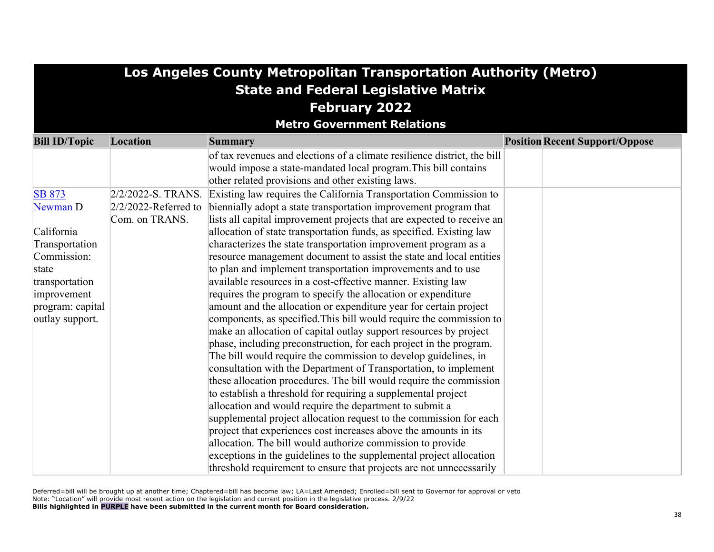|                      | Los Angeles County Metropolitan Transportation Authority (Metro)    |                                                                          |  |                                       |  |
|----------------------|---------------------------------------------------------------------|--------------------------------------------------------------------------|--|---------------------------------------|--|
|                      | <b>State and Federal Legislative Matrix</b><br><b>February 2022</b> |                                                                          |  |                                       |  |
|                      |                                                                     |                                                                          |  |                                       |  |
|                      |                                                                     |                                                                          |  |                                       |  |
|                      |                                                                     | <b>Metro Government Relations</b>                                        |  |                                       |  |
| <b>Bill ID/Topic</b> | Location                                                            | <b>Summary</b>                                                           |  | <b>Position Recent Support/Oppose</b> |  |
|                      |                                                                     | of tax revenues and elections of a climate resilience district, the bill |  |                                       |  |
|                      |                                                                     | would impose a state-mandated local program. This bill contains          |  |                                       |  |
|                      |                                                                     | other related provisions and other existing laws.                        |  |                                       |  |
| <b>SB 873</b>        | $2/2/2022-S.$ TRANS.                                                | Existing law requires the California Transportation Commission to        |  |                                       |  |
| Newman D             | $2/2/2022$ -Referred to                                             | biennially adopt a state transportation improvement program that         |  |                                       |  |
|                      | Com. on TRANS.                                                      | lists all capital improvement projects that are expected to receive an   |  |                                       |  |
| California           |                                                                     | allocation of state transportation funds, as specified. Existing law     |  |                                       |  |
| Transportation       |                                                                     | characterizes the state transportation improvement program as a          |  |                                       |  |
| Commission:          |                                                                     | resource management document to assist the state and local entities      |  |                                       |  |
| state                |                                                                     | to plan and implement transportation improvements and to use             |  |                                       |  |
| transportation       |                                                                     | available resources in a cost-effective manner. Existing law             |  |                                       |  |
| improvement          |                                                                     | requires the program to specify the allocation or expenditure            |  |                                       |  |
| program: capital     |                                                                     | amount and the allocation or expenditure year for certain project        |  |                                       |  |
| outlay support.      |                                                                     | components, as specified. This bill would require the commission to      |  |                                       |  |
|                      |                                                                     | make an allocation of capital outlay support resources by project        |  |                                       |  |
|                      |                                                                     | phase, including preconstruction, for each project in the program.       |  |                                       |  |
|                      |                                                                     | The bill would require the commission to develop guidelines, in          |  |                                       |  |
|                      |                                                                     | consultation with the Department of Transportation, to implement         |  |                                       |  |
|                      |                                                                     | these allocation procedures. The bill would require the commission       |  |                                       |  |
|                      |                                                                     | to establish a threshold for requiring a supplemental project            |  |                                       |  |
|                      |                                                                     | allocation and would require the department to submit a                  |  |                                       |  |
|                      |                                                                     | supplemental project allocation request to the commission for each       |  |                                       |  |
|                      |                                                                     | project that experiences cost increases above the amounts in its         |  |                                       |  |
|                      |                                                                     | allocation. The bill would authorize commission to provide               |  |                                       |  |
|                      |                                                                     | exceptions in the guidelines to the supplemental project allocation      |  |                                       |  |
|                      |                                                                     | threshold requirement to ensure that projects are not unnecessarily      |  |                                       |  |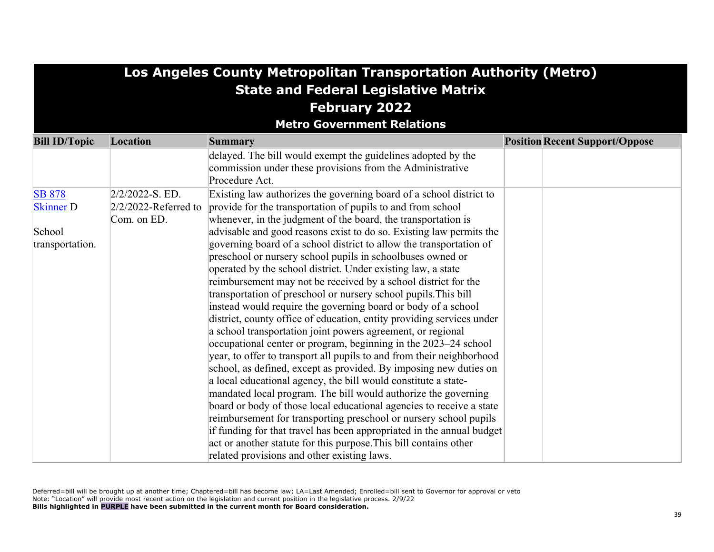| Los Angeles County Metropolitan Transportation Authority (Metro) |                         |                                                                                                                                  |                                       |  |  |  |
|------------------------------------------------------------------|-------------------------|----------------------------------------------------------------------------------------------------------------------------------|---------------------------------------|--|--|--|
| <b>State and Federal Legislative Matrix</b>                      |                         |                                                                                                                                  |                                       |  |  |  |
|                                                                  | <b>February 2022</b>    |                                                                                                                                  |                                       |  |  |  |
|                                                                  |                         |                                                                                                                                  |                                       |  |  |  |
|                                                                  |                         | <b>Metro Government Relations</b>                                                                                                |                                       |  |  |  |
| <b>Bill ID/Topic</b>                                             | Location                | Summary                                                                                                                          | <b>Position Recent Support/Oppose</b> |  |  |  |
|                                                                  |                         | delayed. The bill would exempt the guidelines adopted by the                                                                     |                                       |  |  |  |
|                                                                  |                         | commission under these provisions from the Administrative                                                                        |                                       |  |  |  |
|                                                                  |                         | Procedure Act.                                                                                                                   |                                       |  |  |  |
| <b>SB 878</b>                                                    | $2/2/2022-S. ED.$       | Existing law authorizes the governing board of a school district to                                                              |                                       |  |  |  |
| <b>Skinner</b> D                                                 | $2/2/2022$ -Referred to | provide for the transportation of pupils to and from school                                                                      |                                       |  |  |  |
|                                                                  | Com. on ED.             | whenever, in the judgment of the board, the transportation is                                                                    |                                       |  |  |  |
| School                                                           |                         | advisable and good reasons exist to do so. Existing law permits the                                                              |                                       |  |  |  |
| transportation.                                                  |                         | governing board of a school district to allow the transportation of                                                              |                                       |  |  |  |
|                                                                  |                         | preschool or nursery school pupils in schoolbuses owned or                                                                       |                                       |  |  |  |
|                                                                  |                         | operated by the school district. Under existing law, a state                                                                     |                                       |  |  |  |
|                                                                  |                         | reimbursement may not be received by a school district for the                                                                   |                                       |  |  |  |
|                                                                  |                         | transportation of preschool or nursery school pupils. This bill<br>instead would require the governing board or body of a school |                                       |  |  |  |
|                                                                  |                         | district, county office of education, entity providing services under                                                            |                                       |  |  |  |
|                                                                  |                         | a school transportation joint powers agreement, or regional                                                                      |                                       |  |  |  |
|                                                                  |                         | occupational center or program, beginning in the 2023–24 school                                                                  |                                       |  |  |  |
|                                                                  |                         | year, to offer to transport all pupils to and from their neighborhood                                                            |                                       |  |  |  |
|                                                                  |                         | school, as defined, except as provided. By imposing new duties on                                                                |                                       |  |  |  |
|                                                                  |                         | a local educational agency, the bill would constitute a state-                                                                   |                                       |  |  |  |
|                                                                  |                         | mandated local program. The bill would authorize the governing                                                                   |                                       |  |  |  |
|                                                                  |                         | board or body of those local educational agencies to receive a state                                                             |                                       |  |  |  |
|                                                                  |                         | reimbursement for transporting preschool or nursery school pupils                                                                |                                       |  |  |  |
|                                                                  |                         | if funding for that travel has been appropriated in the annual budget                                                            |                                       |  |  |  |
|                                                                  |                         | act or another statute for this purpose. This bill contains other                                                                |                                       |  |  |  |
|                                                                  |                         | related provisions and other existing laws.                                                                                      |                                       |  |  |  |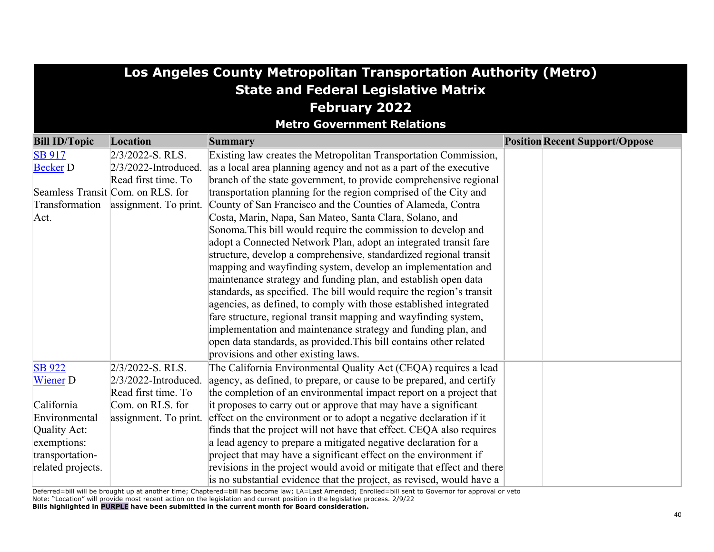| Los Angeles County Metropolitan Transportation Authority (Metro) |                                      |                                                                        |                                       |  |
|------------------------------------------------------------------|--------------------------------------|------------------------------------------------------------------------|---------------------------------------|--|
| <b>State and Federal Legislative Matrix</b>                      |                                      |                                                                        |                                       |  |
| <b>February 2022</b>                                             |                                      |                                                                        |                                       |  |
|                                                                  |                                      | <b>Metro Government Relations</b>                                      |                                       |  |
| <b>Bill ID/Topic</b>                                             | Location                             | Summary                                                                | <b>Position Recent Support/Oppose</b> |  |
| <b>SB 917</b>                                                    | $2/3/2022$ -S. RLS.                  | Existing law creates the Metropolitan Transportation Commission,       |                                       |  |
| <b>Becker D</b>                                                  | $2/3/2022$ -Introduced.              | as a local area planning agency and not as a part of the executive     |                                       |  |
|                                                                  | Read first time. To                  | branch of the state government, to provide comprehensive regional      |                                       |  |
|                                                                  | Seamless Transit Com. on RLS. for    | transportation planning for the region comprised of the City and       |                                       |  |
|                                                                  | Transformation assignment. To print. | County of San Francisco and the Counties of Alameda, Contra            |                                       |  |
| Act.                                                             |                                      | Costa, Marin, Napa, San Mateo, Santa Clara, Solano, and                |                                       |  |
|                                                                  |                                      | Sonoma. This bill would require the commission to develop and          |                                       |  |
|                                                                  |                                      | adopt a Connected Network Plan, adopt an integrated transit fare       |                                       |  |
|                                                                  |                                      | structure, develop a comprehensive, standardized regional transit      |                                       |  |
|                                                                  |                                      | mapping and wayfinding system, develop an implementation and           |                                       |  |
|                                                                  |                                      | maintenance strategy and funding plan, and establish open data         |                                       |  |
|                                                                  |                                      | standards, as specified. The bill would require the region's transit   |                                       |  |
|                                                                  |                                      | agencies, as defined, to comply with those established integrated      |                                       |  |
|                                                                  |                                      | fare structure, regional transit mapping and wayfinding system,        |                                       |  |
|                                                                  |                                      | implementation and maintenance strategy and funding plan, and          |                                       |  |
|                                                                  |                                      | open data standards, as provided. This bill contains other related     |                                       |  |
|                                                                  |                                      | provisions and other existing laws.                                    |                                       |  |
| <b>SB</b> 922                                                    | $2/3/2022-S. RLS.$                   | The California Environmental Quality Act (CEQA) requires a lead        |                                       |  |
| <b>Wiener D</b>                                                  | $2/3/2022$ -Introduced.              | agency, as defined, to prepare, or cause to be prepared, and certify   |                                       |  |
|                                                                  | Read first time. To                  | the completion of an environmental impact report on a project that     |                                       |  |
| California                                                       | Com. on RLS. for                     | it proposes to carry out or approve that may have a significant        |                                       |  |
| Environmental                                                    | assignment. To print.                | effect on the environment or to adopt a negative declaration if it     |                                       |  |
| Quality Act:                                                     |                                      | finds that the project will not have that effect. CEQA also requires   |                                       |  |
| exemptions:                                                      |                                      | a lead agency to prepare a mitigated negative declaration for a        |                                       |  |
| transportation-                                                  |                                      | project that may have a significant effect on the environment if       |                                       |  |
| related projects.                                                |                                      | revisions in the project would avoid or mitigate that effect and there |                                       |  |
|                                                                  |                                      | is no substantial evidence that the project, as revised, would have a  |                                       |  |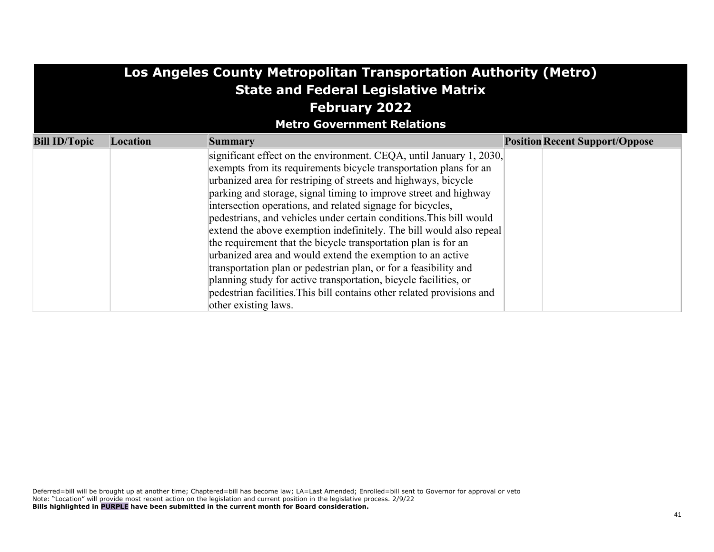| Los Angeles County Metropolitan Transportation Authority (Metro) |                      |                                                                                                                                                                                                                                                                                                                                                                                                                                                                                                                                                                                                                                                                                                                                                                                                                                                                      |  |                                       |  |
|------------------------------------------------------------------|----------------------|----------------------------------------------------------------------------------------------------------------------------------------------------------------------------------------------------------------------------------------------------------------------------------------------------------------------------------------------------------------------------------------------------------------------------------------------------------------------------------------------------------------------------------------------------------------------------------------------------------------------------------------------------------------------------------------------------------------------------------------------------------------------------------------------------------------------------------------------------------------------|--|---------------------------------------|--|
| <b>State and Federal Legislative Matrix</b>                      |                      |                                                                                                                                                                                                                                                                                                                                                                                                                                                                                                                                                                                                                                                                                                                                                                                                                                                                      |  |                                       |  |
|                                                                  | <b>February 2022</b> |                                                                                                                                                                                                                                                                                                                                                                                                                                                                                                                                                                                                                                                                                                                                                                                                                                                                      |  |                                       |  |
|                                                                  |                      | <b>Metro Government Relations</b>                                                                                                                                                                                                                                                                                                                                                                                                                                                                                                                                                                                                                                                                                                                                                                                                                                    |  |                                       |  |
| <b>Bill ID/Topic</b>                                             | Location             | <b>Summary</b>                                                                                                                                                                                                                                                                                                                                                                                                                                                                                                                                                                                                                                                                                                                                                                                                                                                       |  | <b>Position Recent Support/Oppose</b> |  |
|                                                                  |                      | significant effect on the environment. CEQA, until January 1, 2030,<br>exempts from its requirements bicycle transportation plans for an<br>urbanized area for restriping of streets and highways, bicycle<br>parking and storage, signal timing to improve street and highway<br>intersection operations, and related signage for bicycles,<br>pedestrians, and vehicles under certain conditions. This bill would<br>extend the above exemption indefinitely. The bill would also repeal<br>the requirement that the bicycle transportation plan is for an<br>urbanized area and would extend the exemption to an active<br>transportation plan or pedestrian plan, or for a feasibility and<br>planning study for active transportation, bicycle facilities, or<br>pedestrian facilities. This bill contains other related provisions and<br>other existing laws. |  |                                       |  |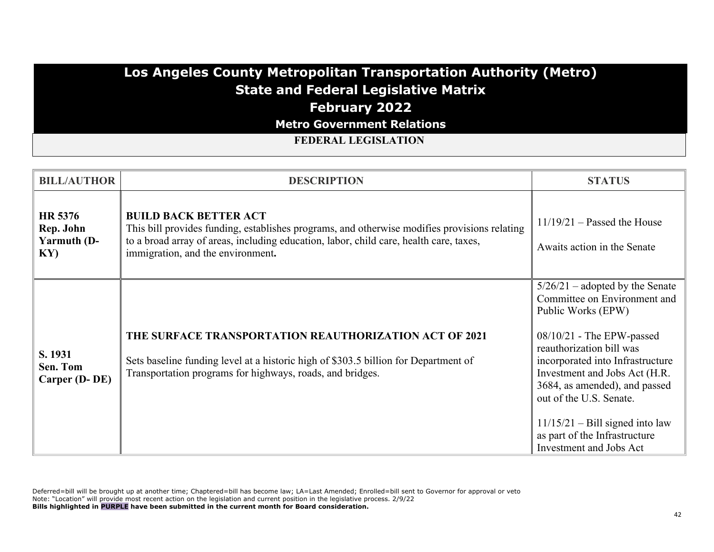# **Los Angeles County Metropolitan Transportation Authority (Metro) State and Federal Legislative Matrix February 2022**

**Metro Government Relations**

**FEDERAL LEGISLATION**

| <b>BILL/AUTHOR</b>                               | <b>DESCRIPTION</b>                                                                                                                                                                                                                                          | <b>STATUS</b>                                                                                                                                                                                                                                                                                                                                                                        |
|--------------------------------------------------|-------------------------------------------------------------------------------------------------------------------------------------------------------------------------------------------------------------------------------------------------------------|--------------------------------------------------------------------------------------------------------------------------------------------------------------------------------------------------------------------------------------------------------------------------------------------------------------------------------------------------------------------------------------|
| HR 5376<br>Rep. John<br>Yarmuth (D-<br>$\bf{K}Y$ | <b>BUILD BACK BETTER ACT</b><br>This bill provides funding, establishes programs, and otherwise modifies provisions relating<br>to a broad array of areas, including education, labor, child care, health care, taxes,<br>immigration, and the environment. | $11/19/21$ – Passed the House<br>Awaits action in the Senate                                                                                                                                                                                                                                                                                                                         |
| S. 1931<br>Sen. Tom<br>Carper (D-DE)             | <b>THE SURFACE TRANSPORTATION REAUTHORIZATION ACT OF 2021</b><br>Sets baseline funding level at a historic high of \$303.5 billion for Department of<br>Transportation programs for highways, roads, and bridges.                                           | $5/26/21$ – adopted by the Senate<br>Committee on Environment and<br>Public Works (EPW)<br>$08/10/21$ - The EPW-passed<br>reauthorization bill was<br>incorporated into Infrastructure<br>Investment and Jobs Act (H.R.<br>3684, as amended), and passed<br>out of the U.S. Senate.<br>$11/15/21$ – Bill signed into law<br>as part of the Infrastructure<br>Investment and Jobs Act |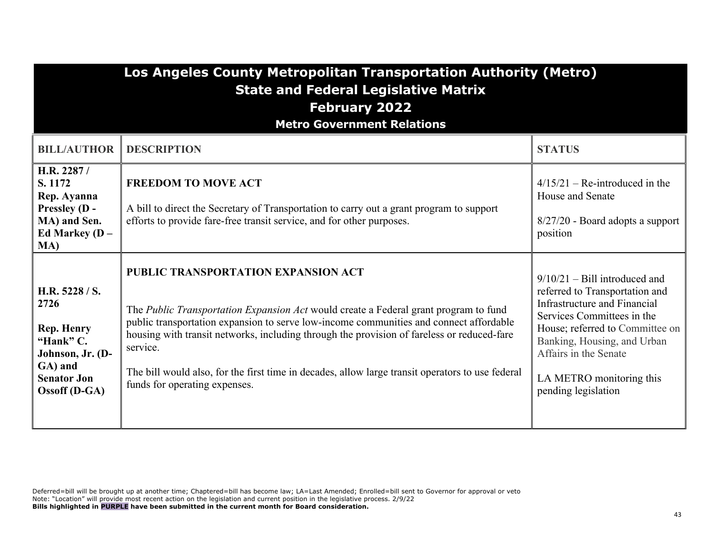| Los Angeles County Metropolitan Transportation Authority (Metro) |
|------------------------------------------------------------------|
| <b>State and Federal Legislative Matrix</b>                      |
|                                                                  |

## **February 2022**

**Metro Government Relations**

| <b>BILL/AUTHOR</b>                                                                                                      | <b>DESCRIPTION</b>                                                                                                                                                                                                                                                                                                                                                                                                                                                   | <b>STATUS</b>                                                                                                                                                                                                                                                                        |
|-------------------------------------------------------------------------------------------------------------------------|----------------------------------------------------------------------------------------------------------------------------------------------------------------------------------------------------------------------------------------------------------------------------------------------------------------------------------------------------------------------------------------------------------------------------------------------------------------------|--------------------------------------------------------------------------------------------------------------------------------------------------------------------------------------------------------------------------------------------------------------------------------------|
| H.R. 2287/<br>S. 1172<br>Rep. Ayanna<br><b>Pressley (D -</b><br>MA) and Sen.<br>Ed Markey ( $D -$<br>MA)                | <b>FREEDOM TO MOVE ACT</b><br>A bill to direct the Secretary of Transportation to carry out a grant program to support<br>efforts to provide fare-free transit service, and for other purposes.                                                                                                                                                                                                                                                                      | $4/15/21$ – Re-introduced in the<br>House and Senate<br>8/27/20 - Board adopts a support<br>position                                                                                                                                                                                 |
| H.R. 5228 / S.<br>2726<br>Rep. Henry<br>"Hank" C.<br>Johnson, Jr. (D-<br>GA) and<br><b>Senator Jon</b><br>Ossoff (D-GA) | PUBLIC TRANSPORTATION EXPANSION ACT<br>The Public Transportation Expansion Act would create a Federal grant program to fund<br>public transportation expansion to serve low-income communities and connect affordable<br>housing with transit networks, including through the provision of fareless or reduced-fare<br>service.<br>The bill would also, for the first time in decades, allow large transit operators to use federal<br>funds for operating expenses. | $9/10/21 -$ Bill introduced and<br>referred to Transportation and<br><b>Infrastructure and Financial</b><br>Services Committees in the<br>House; referred to Committee on<br>Banking, Housing, and Urban<br>Affairs in the Senate<br>LA METRO monitoring this<br>pending legislation |